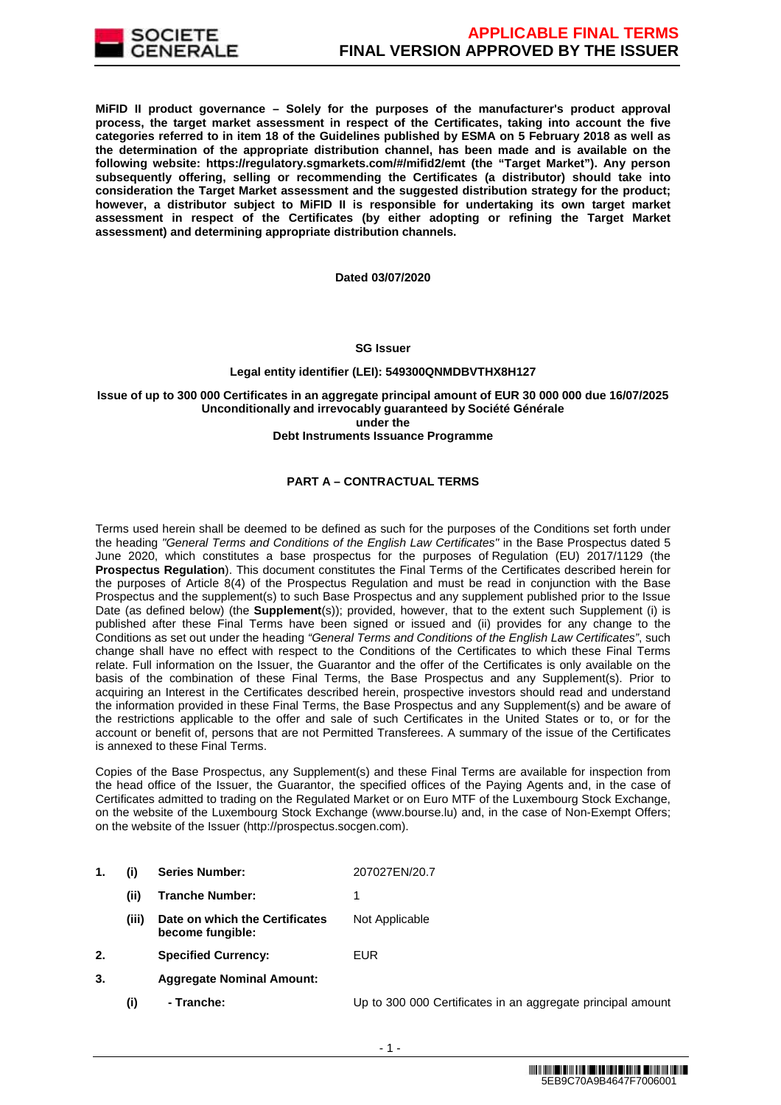

**MiFID II product governance – Solely for the purposes of the manufacturer's product approval process, the target market assessment in respect of the Certificates, taking into account the five categories referred to in item 18 of the Guidelines published by ESMA on 5 February 2018 as well as the determination of the appropriate distribution channel, has been made and is available on the following website: https://regulatory.sgmarkets.com/#/mifid2/emt (the "Target Market"). Any person subsequently offering, selling or recommending the Certificates (a distributor) should take into consideration the Target Market assessment and the suggested distribution strategy for the product; however, a distributor subject to MiFID II is responsible for undertaking its own target market assessment in respect of the Certificates (by either adopting or refining the Target Market assessment) and determining appropriate distribution channels.**

**Dated 03/07/2020**

### **SG Issuer**

### **Legal entity identifier (LEI): 549300QNMDBVTHX8H127**

#### **Issue of up to 300 000 Certificates in an aggregate principal amount of EUR 30 000 000 due 16/07/2025 Unconditionally and irrevocably guaranteed by Société Générale under the Debt Instruments Issuance Programme**

# **PART A – CONTRACTUAL TERMS**

Terms used herein shall be deemed to be defined as such for the purposes of the Conditions set forth under the heading "General Terms and Conditions of the English Law Certificates" in the Base Prospectus dated 5 June 2020, which constitutes a base prospectus for the purposes of Regulation (EU) 2017/1129 (the **Prospectus Regulation**). This document constitutes the Final Terms of the Certificates described herein for the purposes of Article 8(4) of the Prospectus Regulation and must be read in conjunction with the Base Prospectus and the supplement(s) to such Base Prospectus and any supplement published prior to the Issue Date (as defined below) (the **Supplement**(s)); provided, however, that to the extent such Supplement (i) is published after these Final Terms have been signed or issued and (ii) provides for any change to the Conditions as set out under the heading "General Terms and Conditions of the English Law Certificates", such change shall have no effect with respect to the Conditions of the Certificates to which these Final Terms relate. Full information on the Issuer, the Guarantor and the offer of the Certificates is only available on the basis of the combination of these Final Terms, the Base Prospectus and any Supplement(s). Prior to acquiring an Interest in the Certificates described herein, prospective investors should read and understand the information provided in these Final Terms, the Base Prospectus and any Supplement(s) and be aware of the restrictions applicable to the offer and sale of such Certificates in the United States or to, or for the account or benefit of, persons that are not Permitted Transferees. A summary of the issue of the Certificates is annexed to these Final Terms.

Copies of the Base Prospectus, any Supplement(s) and these Final Terms are available for inspection from the head office of the Issuer, the Guarantor, the specified offices of the Paying Agents and, in the case of Certificates admitted to trading on the Regulated Market or on Euro MTF of the Luxembourg Stock Exchange, on the website of the Luxembourg Stock Exchange (www.bourse.lu) and, in the case of Non-Exempt Offers; on the website of the Issuer (http://prospectus.socgen.com).

- **1. (i) Series Number:** 207027EN/20.7 **(ii) Tranche Number:** 1 **(iii) Date on which the Certificates become fungible:** Not Applicable **2. Specified Currency:** EUR **3. Aggregate Nominal Amount:**
	- **(i) Tranche:** Up to 300 000 Certificates in an aggregate principal amount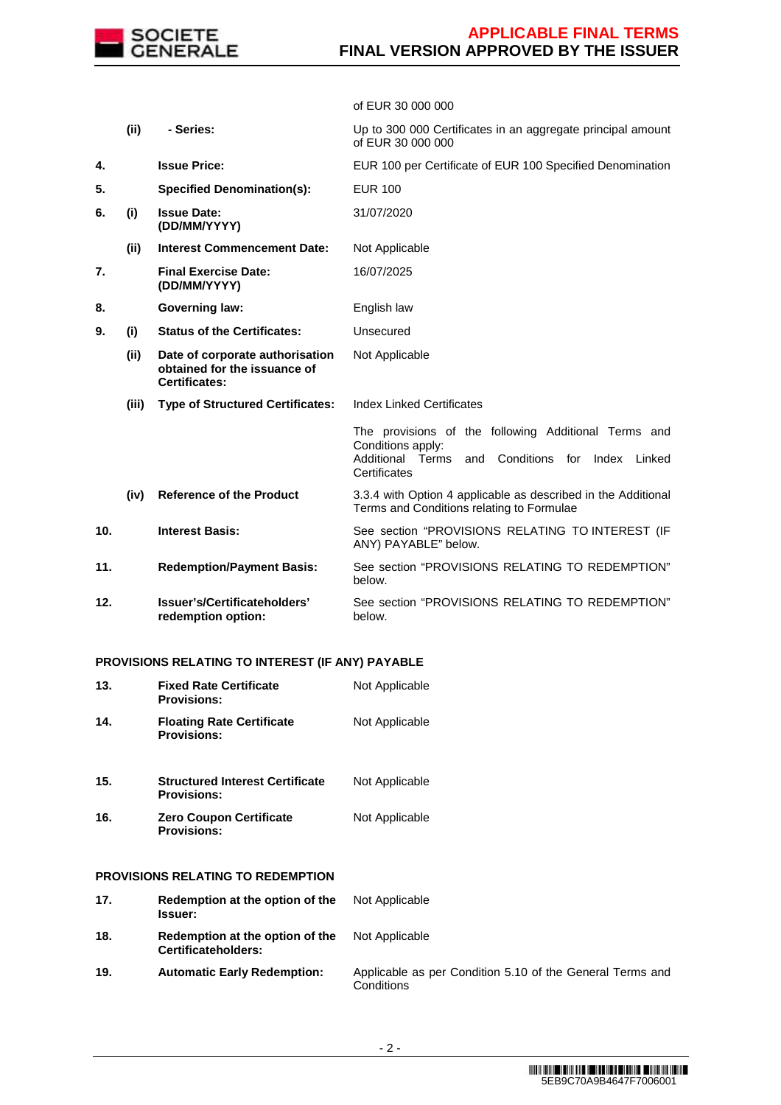

of EUR 30 000 000

|     | (ii)  | - Series:                                                                               | Up to 300 000 Certificates in an aggregate principal amount<br>of EUR 30 000 000                                                                             |
|-----|-------|-----------------------------------------------------------------------------------------|--------------------------------------------------------------------------------------------------------------------------------------------------------------|
| 4.  |       | <b>Issue Price:</b>                                                                     | EUR 100 per Certificate of EUR 100 Specified Denomination                                                                                                    |
| 5.  |       | <b>Specified Denomination(s):</b>                                                       | <b>EUR 100</b>                                                                                                                                               |
| 6.  | (i)   | <b>Issue Date:</b><br>(DD/MM/YYYY)                                                      | 31/07/2020                                                                                                                                                   |
|     | (ii)  | <b>Interest Commencement Date:</b>                                                      | Not Applicable                                                                                                                                               |
| 7.  |       | <b>Final Exercise Date:</b><br>(DD/MM/YYYY)                                             | 16/07/2025                                                                                                                                                   |
| 8.  |       | <b>Governing law:</b>                                                                   | English law                                                                                                                                                  |
| 9.  | (i)   | <b>Status of the Certificates:</b>                                                      | Unsecured                                                                                                                                                    |
|     | (ii)  | Date of corporate authorisation<br>obtained for the issuance of<br><b>Certificates:</b> | Not Applicable                                                                                                                                               |
|     | (iii) | <b>Type of Structured Certificates:</b>                                                 | <b>Index Linked Certificates</b>                                                                                                                             |
|     |       |                                                                                         | The provisions of the following Additional Terms and<br>Conditions apply:<br>Additional<br>Conditions<br>Terms<br>for<br>Index Linked<br>and<br>Certificates |
|     | (iv)  | <b>Reference of the Product</b>                                                         | 3.3.4 with Option 4 applicable as described in the Additional<br>Terms and Conditions relating to Formulae                                                   |
| 10. |       | <b>Interest Basis:</b>                                                                  | See section "PROVISIONS RELATING TO INTEREST (IF<br>ANY) PAYABLE" below.                                                                                     |
| 11. |       | <b>Redemption/Payment Basis:</b>                                                        | See section "PROVISIONS RELATING TO REDEMPTION"<br>below.                                                                                                    |
| 12. |       | Issuer's/Certificateholders'<br>redemption option:                                      | See section "PROVISIONS RELATING TO REDEMPTION"<br>below.                                                                                                    |

# **PROVISIONS RELATING TO INTEREST (IF ANY) PAYABLE**

| 13. | <b>Fixed Rate Certificate</b><br><b>Provisions:</b>          | Not Applicable                                                          |
|-----|--------------------------------------------------------------|-------------------------------------------------------------------------|
| 14. | <b>Floating Rate Certificate</b><br><b>Provisions:</b>       | Not Applicable                                                          |
| 15. | <b>Structured Interest Certificate</b><br><b>Provisions:</b> | Not Applicable                                                          |
| 16. | <b>Zero Coupon Certificate</b><br><b>Provisions:</b>         | Not Applicable                                                          |
|     | <b>PROVISIONS RELATING TO REDEMPTION</b>                     |                                                                         |
| 17. | Redemption at the option of the<br><b>Issuer:</b>            | Not Applicable                                                          |
| 18. | Redemption at the option of the<br>Certificateholders:       | Not Applicable                                                          |
| 19. | <b>Automatic Early Redemption:</b>                           | Applicable as per Condition 5.10 of the General Terms and<br>Conditions |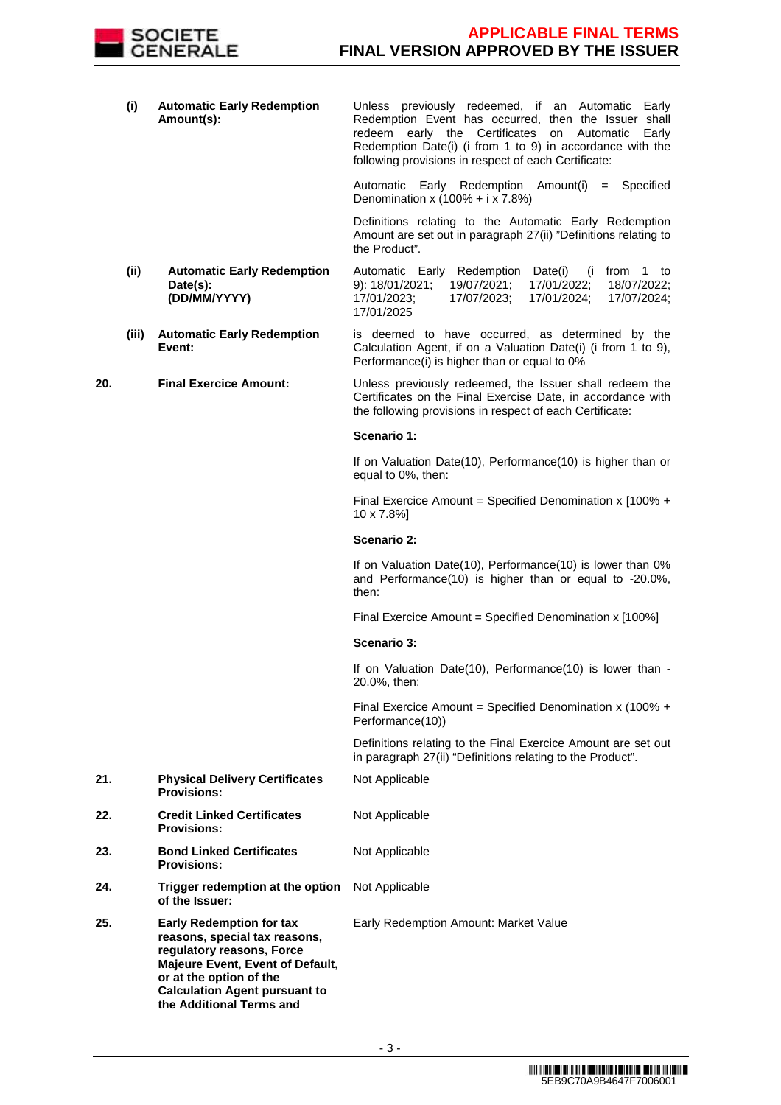

|     | (i)   | <b>Automatic Early Redemption</b><br>Amount(s):                                                                                                                                                                                  | Unless previously redeemed, if an Automatic Early<br>Redemption Event has occurred, then the Issuer shall<br>redeem early the Certificates on Automatic<br>Early<br>Redemption Date(i) (i from 1 to 9) in accordance with the<br>following provisions in respect of each Certificate: |
|-----|-------|----------------------------------------------------------------------------------------------------------------------------------------------------------------------------------------------------------------------------------|---------------------------------------------------------------------------------------------------------------------------------------------------------------------------------------------------------------------------------------------------------------------------------------|
|     |       |                                                                                                                                                                                                                                  | Automatic Early Redemption Amount(i)<br>$=$ Specified<br>Denomination x $(100\% + i \times 7.8\%)$                                                                                                                                                                                    |
|     |       |                                                                                                                                                                                                                                  | Definitions relating to the Automatic Early Redemption<br>Amount are set out in paragraph 27(ii) "Definitions relating to<br>the Product".                                                                                                                                            |
|     | (ii)  | <b>Automatic Early Redemption</b><br>Date(s):<br>(DD/MM/YYYY)                                                                                                                                                                    | Automatic Early Redemption Date(i)<br>(i from 1 to<br>9): 18/01/2021;<br>19/07/2021;<br>17/01/2022;<br>18/07/2022;<br>17/01/2023;<br>17/07/2023;<br>17/01/2024;<br>17/07/2024;<br>17/01/2025                                                                                          |
|     | (iii) | <b>Automatic Early Redemption</b><br>Event:                                                                                                                                                                                      | is deemed to have occurred, as determined by the<br>Calculation Agent, if on a Valuation Date(i) (i from 1 to 9),<br>Performance(i) is higher than or equal to 0%                                                                                                                     |
| 20. |       | <b>Final Exercice Amount:</b>                                                                                                                                                                                                    | Unless previously redeemed, the Issuer shall redeem the<br>Certificates on the Final Exercise Date, in accordance with<br>the following provisions in respect of each Certificate:                                                                                                    |
|     |       |                                                                                                                                                                                                                                  | Scenario 1:                                                                                                                                                                                                                                                                           |
|     |       |                                                                                                                                                                                                                                  | If on Valuation Date(10), Performance(10) is higher than or<br>equal to 0%, then:                                                                                                                                                                                                     |
|     |       |                                                                                                                                                                                                                                  | Final Exercice Amount = Specified Denomination x $100\% +$<br>10 x 7.8%]                                                                                                                                                                                                              |
|     |       |                                                                                                                                                                                                                                  | Scenario 2:                                                                                                                                                                                                                                                                           |
|     |       |                                                                                                                                                                                                                                  | If on Valuation Date(10), Performance(10) is lower than 0%<br>and Performance(10) is higher than or equal to -20.0%,<br>then:                                                                                                                                                         |
|     |       |                                                                                                                                                                                                                                  | Final Exercice Amount = Specified Denomination x [100%]                                                                                                                                                                                                                               |
|     |       |                                                                                                                                                                                                                                  | Scenario 3:                                                                                                                                                                                                                                                                           |
|     |       |                                                                                                                                                                                                                                  | If on Valuation Date(10), Performance(10) is lower than -<br>20.0%, then:                                                                                                                                                                                                             |
|     |       |                                                                                                                                                                                                                                  | Final Exercice Amount = Specified Denomination x (100% +<br>Performance(10))                                                                                                                                                                                                          |
|     |       |                                                                                                                                                                                                                                  | Definitions relating to the Final Exercice Amount are set out<br>in paragraph 27(ii) "Definitions relating to the Product".                                                                                                                                                           |
| 21. |       | <b>Physical Delivery Certificates</b><br><b>Provisions:</b>                                                                                                                                                                      | Not Applicable                                                                                                                                                                                                                                                                        |
| 22. |       | <b>Credit Linked Certificates</b><br><b>Provisions:</b>                                                                                                                                                                          | Not Applicable                                                                                                                                                                                                                                                                        |
| 23. |       | <b>Bond Linked Certificates</b><br><b>Provisions:</b>                                                                                                                                                                            | Not Applicable                                                                                                                                                                                                                                                                        |
| 24. |       | Trigger redemption at the option<br>of the Issuer:                                                                                                                                                                               | Not Applicable                                                                                                                                                                                                                                                                        |
| 25. |       | <b>Early Redemption for tax</b><br>reasons, special tax reasons,<br>regulatory reasons, Force<br>Majeure Event, Event of Default,<br>or at the option of the<br><b>Calculation Agent pursuant to</b><br>the Additional Terms and | Early Redemption Amount: Market Value                                                                                                                                                                                                                                                 |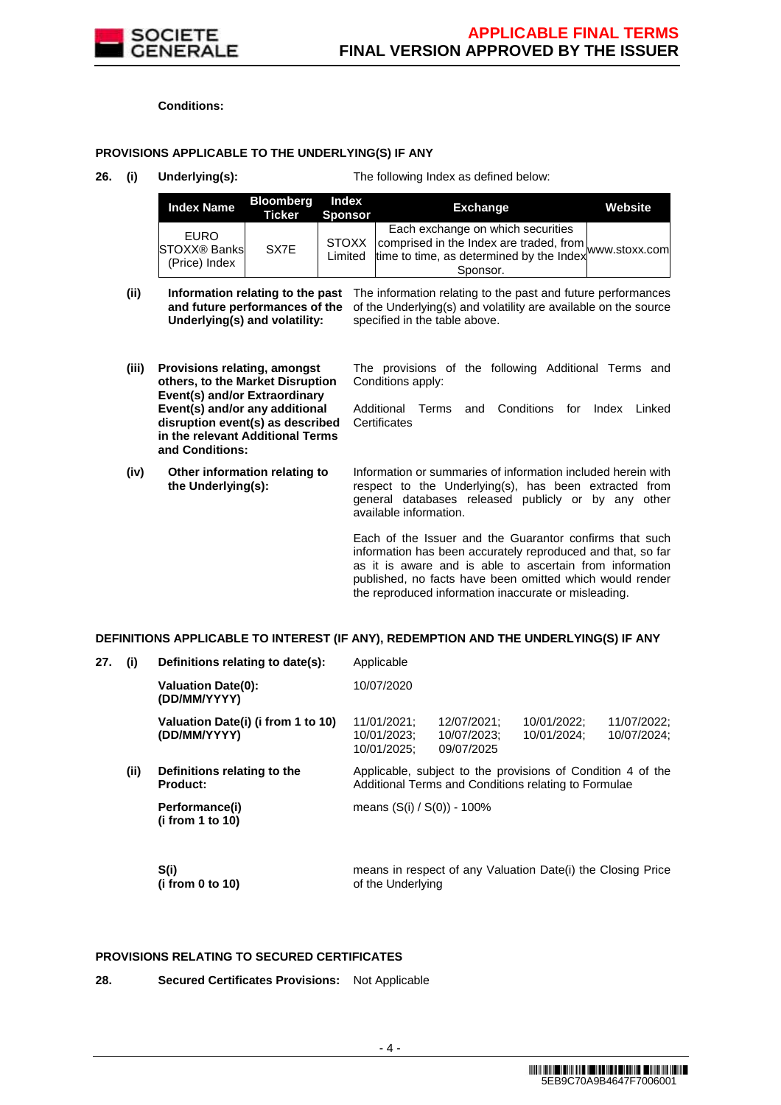

**Conditions:**

# **PROVISIONS APPLICABLE TO THE UNDERLYING(S) IF ANY**

**26. (i) Underlying(s):** The following Index as defined below:

the reproduced information inaccurate or misleading.

| <b>Index Name</b>                                   | <b>Bloomberg</b><br>Ticker | Index<br>Sponsor | <b>Exchange</b>                                                                                                                                                  | Website |
|-----------------------------------------------------|----------------------------|------------------|------------------------------------------------------------------------------------------------------------------------------------------------------------------|---------|
| <b>FURO</b><br><b>STOXX® Banks</b><br>(Price) Index | SX7E                       | <b>STOXX</b>     | Each exchange on which securities<br>STOXX comprised in the Index are traded, from www.stoxx.com<br>Limited time to time, as determined by the Index<br>Sponsor. |         |

(ii) **Information relating to the past** The information relating to the past and future performances and future performances of the of the Underlying(s) and volatility are available on the source **Underlying(s) and volatility:** specified in the table above.

| (iii) | <b>Provisions relating, amongst</b><br>others, to the Market Disruption<br>Event(s) and/or Extraordinary                  | The provisions of the following Additional Terms and<br>Conditions apply:                                                                                                                                                                      |
|-------|---------------------------------------------------------------------------------------------------------------------------|------------------------------------------------------------------------------------------------------------------------------------------------------------------------------------------------------------------------------------------------|
|       | Event(s) and/or any additional<br>disruption event(s) as described<br>in the relevant Additional Terms<br>and Conditions: | Conditions<br>and<br>for<br>Additional Terms<br>Index<br>Linked<br>Certificates                                                                                                                                                                |
| (iv)  | Other information relating to<br>the Underlying(s):                                                                       | Information or summaries of information included herein with<br>respect to the Underlying(s), has been extracted from<br>general databases released publicly or by any other<br>available information.                                         |
|       |                                                                                                                           | Each of the Issuer and the Guarantor confirms that such<br>information has been accurately reproduced and that, so far<br>as it is aware and is able to ascertain from information<br>published, no facts have been omitted which would render |

# **DEFINITIONS APPLICABLE TO INTEREST (IF ANY), REDEMPTION AND THE UNDERLYING(S) IF ANY**

| 27. | (i)  | Definitions relating to date(s):                   | Applicable                                |                                          |                                                                                                                     |                            |
|-----|------|----------------------------------------------------|-------------------------------------------|------------------------------------------|---------------------------------------------------------------------------------------------------------------------|----------------------------|
|     |      | <b>Valuation Date(0):</b><br>(DD/MM/YYYY)          | 10/07/2020                                |                                          |                                                                                                                     |                            |
|     |      | Valuation Date(i) (i from 1 to 10)<br>(DD/MM/YYYY) | 11/01/2021:<br>10/01/2023;<br>10/01/2025; | 12/07/2021:<br>10/07/2023;<br>09/07/2025 | 10/01/2022:<br>10/01/2024;                                                                                          | 11/07/2022:<br>10/07/2024; |
|     | (ii) | Definitions relating to the<br><b>Product:</b>     |                                           |                                          | Applicable, subject to the provisions of Condition 4 of the<br>Additional Terms and Conditions relating to Formulae |                            |
|     |      | Performance(i)<br>(i from 1 to 10)                 | means $(S(i) / S(0)) - 100\%$             |                                          |                                                                                                                     |                            |
|     |      | S(i)<br>(i from 0 to 10)                           | of the Underlying                         |                                          | means in respect of any Valuation Date(i) the Closing Price                                                         |                            |

# **PROVISIONS RELATING TO SECURED CERTIFICATES**

**28. Secured Certificates Provisions:** Not Applicable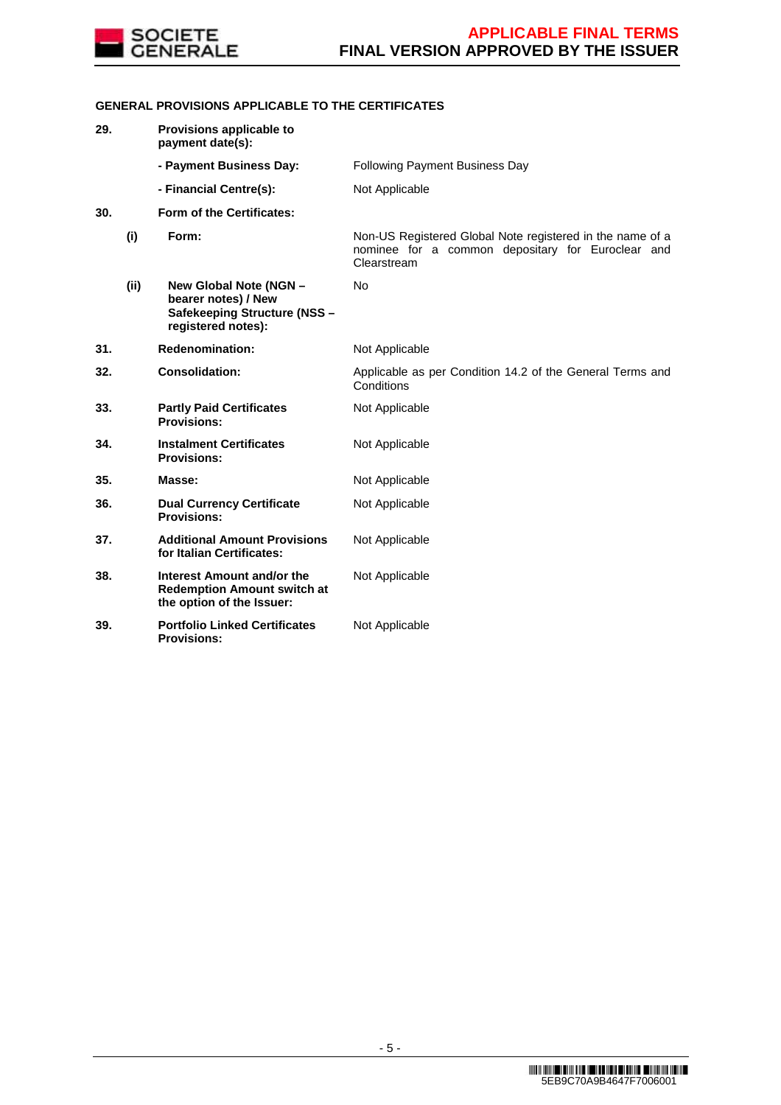

# **GENERAL PROVISIONS APPLICABLE TO THE CERTIFICATES**

| 29. |      | Provisions applicable to<br>payment date(s):                                                        |                                                                                                                               |
|-----|------|-----------------------------------------------------------------------------------------------------|-------------------------------------------------------------------------------------------------------------------------------|
|     |      | - Payment Business Day:                                                                             | Following Payment Business Day                                                                                                |
|     |      | - Financial Centre(s):                                                                              | Not Applicable                                                                                                                |
| 30. |      | Form of the Certificates:                                                                           |                                                                                                                               |
|     | (i)  | Form:                                                                                               | Non-US Registered Global Note registered in the name of a<br>nominee for a common depositary for Euroclear and<br>Clearstream |
|     | (ii) | New Global Note (NGN -<br>bearer notes) / New<br>Safekeeping Structure (NSS -<br>registered notes): | No                                                                                                                            |
| 31. |      | <b>Redenomination:</b>                                                                              | Not Applicable                                                                                                                |
| 32. |      | <b>Consolidation:</b>                                                                               | Applicable as per Condition 14.2 of the General Terms and<br>Conditions                                                       |
| 33. |      | <b>Partly Paid Certificates</b><br><b>Provisions:</b>                                               | Not Applicable                                                                                                                |
| 34. |      | <b>Instalment Certificates</b><br><b>Provisions:</b>                                                | Not Applicable                                                                                                                |
| 35. |      | Masse:                                                                                              | Not Applicable                                                                                                                |
| 36. |      | <b>Dual Currency Certificate</b><br><b>Provisions:</b>                                              | Not Applicable                                                                                                                |
| 37. |      | <b>Additional Amount Provisions</b><br>for Italian Certificates:                                    | Not Applicable                                                                                                                |
| 38. |      | Interest Amount and/or the<br><b>Redemption Amount switch at</b><br>the option of the Issuer:       | Not Applicable                                                                                                                |
| 39. |      | <b>Portfolio Linked Certificates</b><br><b>Provisions:</b>                                          | Not Applicable                                                                                                                |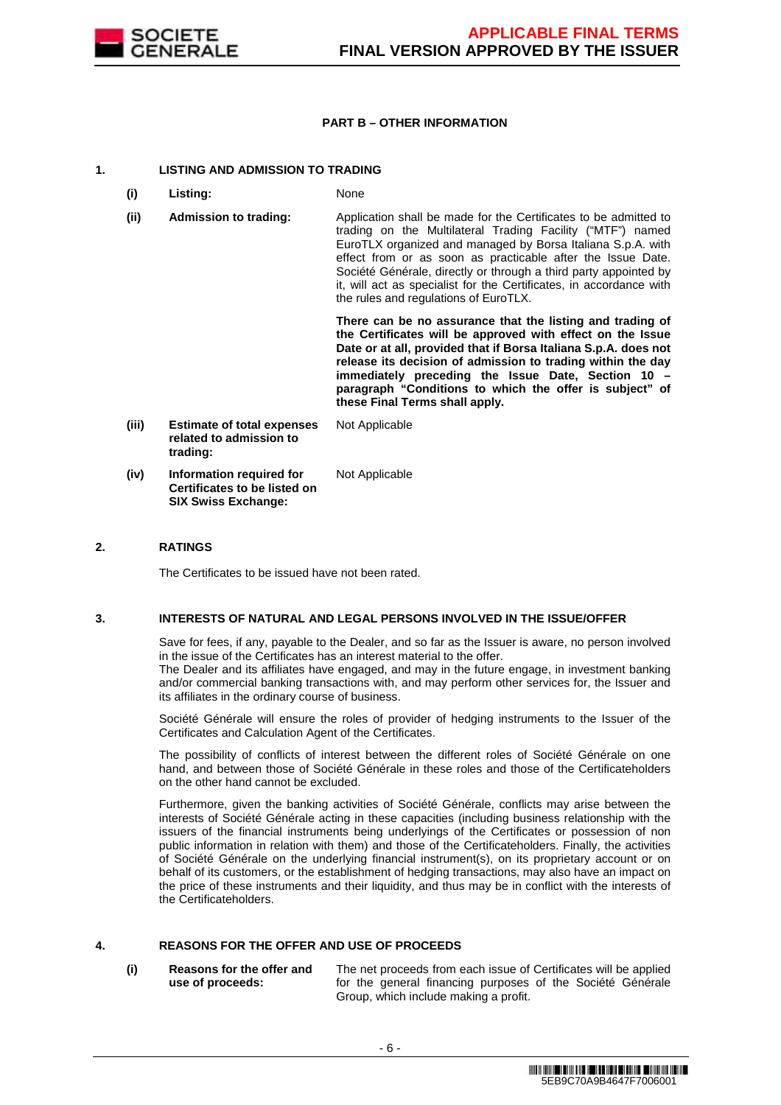

### **PART B – OTHER INFORMATION**

### **1. LISTING AND ADMISSION TO TRADING**

- **(i) Listing:** None
- **(ii) Admission to trading:** Application shall be made for the Certificates to be admitted to trading on the Multilateral Trading Facility ("MTF") named EuroTLX organized and managed by Borsa Italiana S.p.A. with effect from or as soon as practicable after the Issue Date. Société Générale, directly or through a third party appointed by it, will act as specialist for the Certificates, in accordance with the rules and regulations of EuroTLX.

 **There can be no assurance that the listing and trading of the Certificates will be approved with effect on the Issue Date or at all, provided that if Borsa Italiana S.p.A. does not release its decision of admission to trading within the day immediately preceding the Issue Date, Section 10 – paragraph "Conditions to which the offer is subject" of these Final Terms shall apply.**

**(iii) Estimate of total expenses related to admission to trading:** Not Applicable **(iv) Information required for Certificates to be listed on**  Not Applicable

**SIX Swiss Exchange:**

### **2. RATINGS**

The Certificates to be issued have not been rated.

### **3. INTERESTS OF NATURAL AND LEGAL PERSONS INVOLVED IN THE ISSUE/OFFER**

 Save for fees, if any, payable to the Dealer, and so far as the Issuer is aware, no person involved in the issue of the Certificates has an interest material to the offer.

The Dealer and its affiliates have engaged, and may in the future engage, in investment banking and/or commercial banking transactions with, and may perform other services for, the Issuer and its affiliates in the ordinary course of business.

 Société Générale will ensure the roles of provider of hedging instruments to the Issuer of the Certificates and Calculation Agent of the Certificates.

 The possibility of conflicts of interest between the different roles of Société Générale on one hand, and between those of Société Générale in these roles and those of the Certificateholders on the other hand cannot be excluded.

 Furthermore, given the banking activities of Société Générale, conflicts may arise between the interests of Société Générale acting in these capacities (including business relationship with the issuers of the financial instruments being underlyings of the Certificates or possession of non public information in relation with them) and those of the Certificateholders. Finally, the activities of Société Générale on the underlying financial instrument(s), on its proprietary account or on behalf of its customers, or the establishment of hedging transactions, may also have an impact on the price of these instruments and their liquidity, and thus may be in conflict with the interests of the Certificateholders.

# **4. REASONS FOR THE OFFER AND USE OF PROCEEDS**

**(i) Reasons for the offer and use of proceeds:**

The net proceeds from each issue of Certificates will be applied for the general financing purposes of the Société Générale Group, which include making a profit.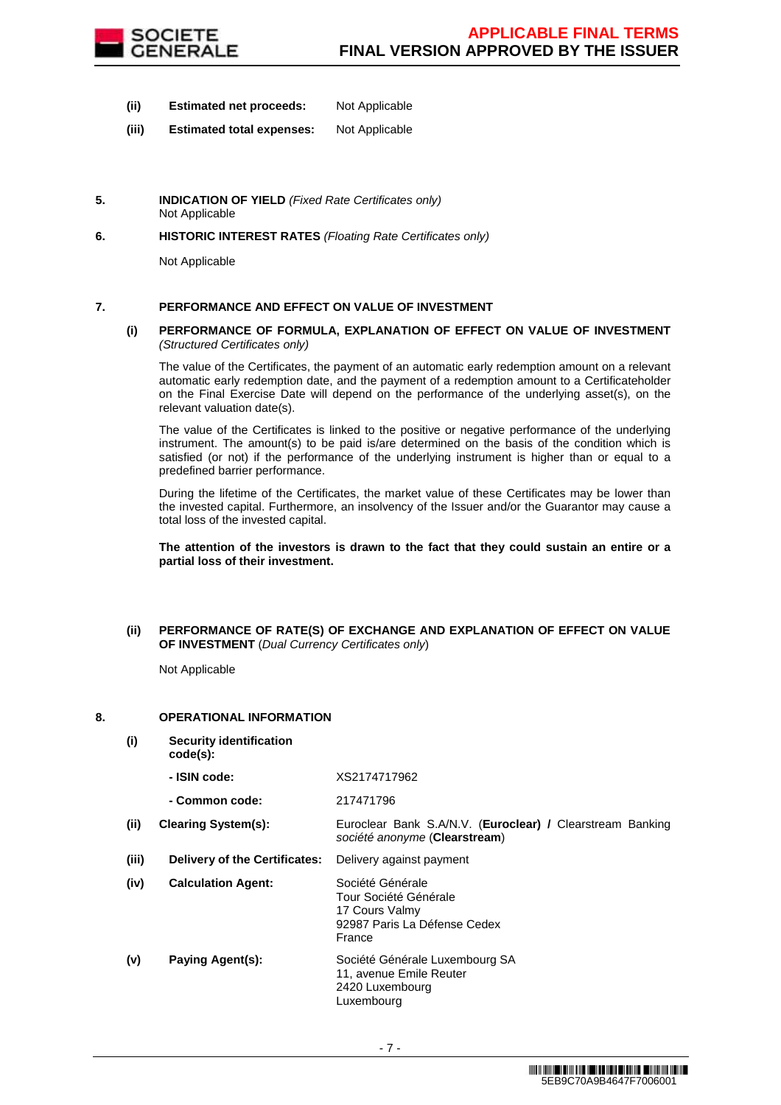

- **(ii) Estimated net proceeds:** Not Applicable
- **(iii) Estimated total expenses:** Not Applicable
- **5. INDICATION OF YIELD** (Fixed Rate Certificates only) Not Applicable
- **6. HISTORIC INTEREST RATES** (Floating Rate Certificates only)

Not Applicable

# **7. PERFORMANCE AND EFFECT ON VALUE OF INVESTMENT**

### **(i) PERFORMANCE OF FORMULA, EXPLANATION OF EFFECT ON VALUE OF INVESTMENT**  (Structured Certificates only)

 The value of the Certificates, the payment of an automatic early redemption amount on a relevant automatic early redemption date, and the payment of a redemption amount to a Certificateholder on the Final Exercise Date will depend on the performance of the underlying asset(s), on the relevant valuation date(s).

 The value of the Certificates is linked to the positive or negative performance of the underlying instrument. The amount(s) to be paid is/are determined on the basis of the condition which is satisfied (or not) if the performance of the underlying instrument is higher than or equal to a predefined barrier performance.

 During the lifetime of the Certificates, the market value of these Certificates may be lower than the invested capital. Furthermore, an insolvency of the Issuer and/or the Guarantor may cause a total loss of the invested capital.

**The attention of the investors is drawn to the fact that they could sustain an entire or a partial loss of their investment.**

### **(ii) PERFORMANCE OF RATE(S) OF EXCHANGE AND EXPLANATION OF EFFECT ON VALUE OF INVESTMENT** (Dual Currency Certificates only)

Not Applicable

### **8. OPERATIONAL INFORMATION**

- **(i) Security identification** 
	- **code(s): - ISIN code:** XS2174717962

|       | - Common code:                       | 217471796                                                                                             |
|-------|--------------------------------------|-------------------------------------------------------------------------------------------------------|
| (ii)  | <b>Clearing System(s):</b>           | Euroclear Bank S.A/N.V. (Euroclear) / Clearstream Banking<br>société anonyme (Clearstream)            |
| (iii) | <b>Delivery of the Certificates:</b> | Delivery against payment                                                                              |
| (iv)  | <b>Calculation Agent:</b>            | Société Générale<br>Tour Société Générale<br>17 Cours Valmy<br>92987 Paris La Défense Cedex<br>France |
| (v)   | Paying Agent(s):                     | Société Générale Luxembourg SA<br>11, avenue Emile Reuter<br>2420 Luxembourg<br>Luxembourg            |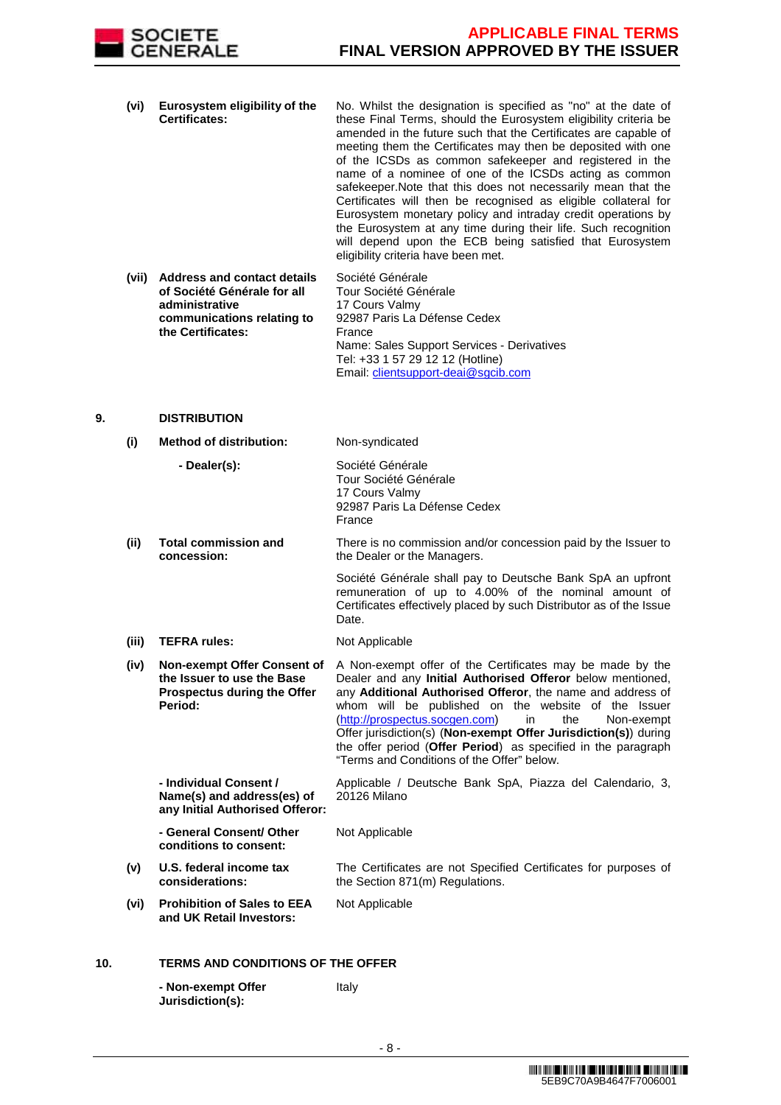

- **(vi) Eurosystem eligibility of the Certificates:** No. Whilst the designation is specified as "no" at the date of these Final Terms, should the Eurosystem eligibility criteria be amended in the future such that the Certificates are capable of meeting them the Certificates may then be deposited with one of the ICSDs as common safekeeper and registered in the name of a nominee of one of the ICSDs acting as common safekeeper.Note that this does not necessarily mean that the Certificates will then be recognised as eligible collateral for Eurosystem monetary policy and intraday credit operations by the Eurosystem at any time during their life. Such recognition will depend upon the ECB being satisfied that Eurosystem eligibility criteria have been met.
- **(vii) Address and contact details of Société Générale for all administrative communications relating to the Certificates:** Société Générale Tour Société Générale 17 Cours Valmy 92987 Paris La Défense Cedex France Name: Sales Support Services - Derivatives Tel: +33 1 57 29 12 12 (Hotline) Email: clientsupport-deai@sgcib.com

### **9. DISTRIBUTION**

| (i)   | <b>Method of distribution:</b>                                                                             | Non-syndicated                                                                                                                                                                                                                                                                                                                                                                                                                                                                              |
|-------|------------------------------------------------------------------------------------------------------------|---------------------------------------------------------------------------------------------------------------------------------------------------------------------------------------------------------------------------------------------------------------------------------------------------------------------------------------------------------------------------------------------------------------------------------------------------------------------------------------------|
|       | - Dealer(s):                                                                                               | Société Générale<br>Tour Société Générale<br>17 Cours Valmy<br>92987 Paris La Défense Cedex<br>France                                                                                                                                                                                                                                                                                                                                                                                       |
| (ii)  | <b>Total commission and</b><br>concession:                                                                 | There is no commission and/or concession paid by the Issuer to<br>the Dealer or the Managers.                                                                                                                                                                                                                                                                                                                                                                                               |
|       |                                                                                                            | Société Générale shall pay to Deutsche Bank SpA an upfront<br>remuneration of up to 4.00% of the nominal amount of<br>Certificates effectively placed by such Distributor as of the Issue<br>Date.                                                                                                                                                                                                                                                                                          |
| (iii) | <b>TEFRA rules:</b>                                                                                        | Not Applicable                                                                                                                                                                                                                                                                                                                                                                                                                                                                              |
| (iv)  | <b>Non-exempt Offer Consent of</b><br>the Issuer to use the Base<br>Prospectus during the Offer<br>Period: | A Non-exempt offer of the Certificates may be made by the<br>Dealer and any Initial Authorised Offeror below mentioned,<br>any Additional Authorised Offeror, the name and address of<br>whom will be published on the website of the Issuer<br>(http://prospectus.socgen.com)<br>in<br>the<br>Non-exempt<br>Offer jurisdiction(s) (Non-exempt Offer Jurisdiction(s)) during<br>the offer period (Offer Period) as specified in the paragraph<br>"Terms and Conditions of the Offer" below. |
|       | - Individual Consent /<br>Name(s) and address(es) of<br>any Initial Authorised Offeror:                    | Applicable / Deutsche Bank SpA, Piazza del Calendario, 3,<br>20126 Milano                                                                                                                                                                                                                                                                                                                                                                                                                   |
|       | - General Consent/ Other<br>conditions to consent:                                                         | Not Applicable                                                                                                                                                                                                                                                                                                                                                                                                                                                                              |
| (v)   | U.S. federal income tax<br>considerations:                                                                 | The Certificates are not Specified Certificates for purposes of<br>the Section 871(m) Regulations.                                                                                                                                                                                                                                                                                                                                                                                          |
| (vi)  | <b>Prohibition of Sales to EEA</b><br>and UK Retail Investors:                                             | Not Applicable                                                                                                                                                                                                                                                                                                                                                                                                                                                                              |
|       |                                                                                                            |                                                                                                                                                                                                                                                                                                                                                                                                                                                                                             |

# **10. TERMS AND CONDITIONS OF THE OFFER**

| - Non-exempt Offer | Italy |
|--------------------|-------|
| Jurisdiction(s):   |       |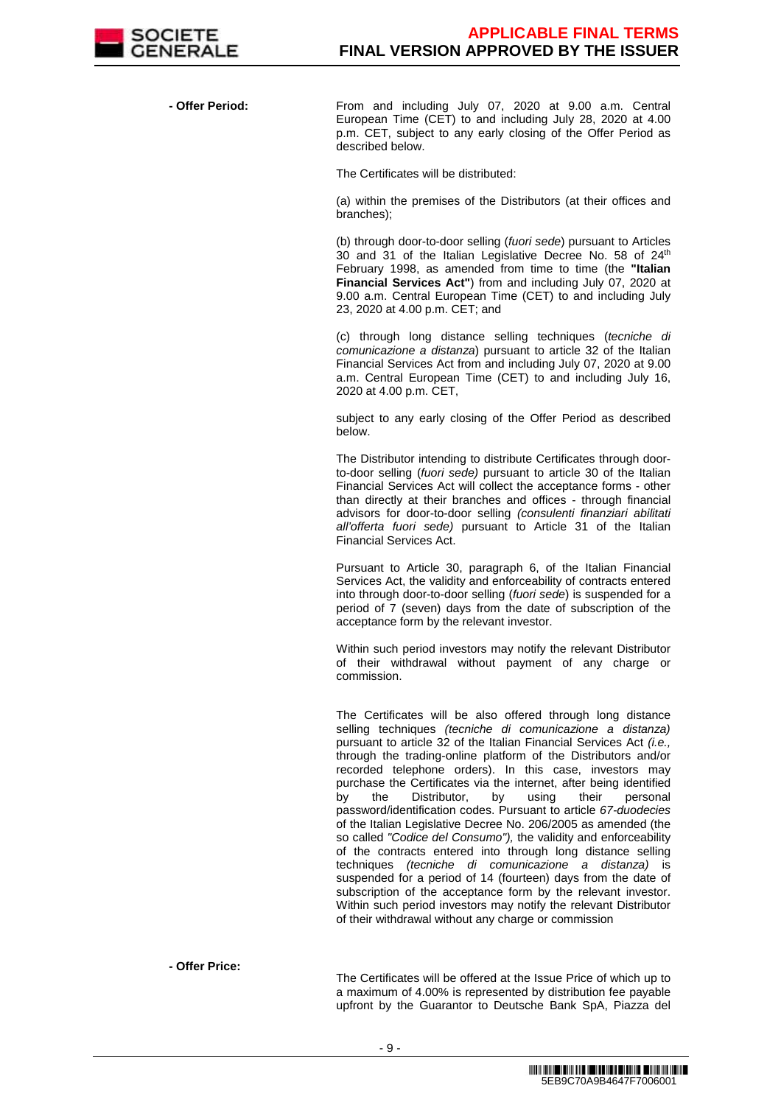

 **- Offer Period:** From and including July 07, 2020 at 9.00 a.m. Central European Time (CET) to and including July 28, 2020 at 4.00 p.m. CET, subject to any early closing of the Offer Period as described below.

The Certificates will be distributed:

(a) within the premises of the Distributors (at their offices and branches);

(b) through door-to-door selling (fuori sede) pursuant to Articles 30 and 31 of the Italian Legislative Decree No. 58 of 24<sup>th</sup> February 1998, as amended from time to time (the **"Italian Financial Services Act"**) from and including July 07, 2020 at 9.00 a.m. Central European Time (CET) to and including July 23, 2020 at 4.00 p.m. CET; and

(c) through long distance selling techniques (tecniche di comunicazione a distanza) pursuant to article 32 of the Italian Financial Services Act from and including July 07, 2020 at 9.00 a.m. Central European Time (CET) to and including July 16, 2020 at 4.00 p.m. CET,

subject to any early closing of the Offer Period as described below.

The Distributor intending to distribute Certificates through doorto-door selling (fuori sede) pursuant to article 30 of the Italian Financial Services Act will collect the acceptance forms - other than directly at their branches and offices - through financial advisors for door-to-door selling (consulenti finanziari abilitati all'offerta fuori sede) pursuant to Article 31 of the Italian Financial Services Act.

Pursuant to Article 30, paragraph 6, of the Italian Financial Services Act, the validity and enforceability of contracts entered into through door-to-door selling (fuori sede) is suspended for a period of 7 (seven) days from the date of subscription of the acceptance form by the relevant investor.

Within such period investors may notify the relevant Distributor of their withdrawal without payment of any charge or commission.

The Certificates will be also offered through long distance selling techniques *(tecniche di comunicazione a distanza)* pursuant to article 32 of the Italian Financial Services Act *(i.e.,* through the trading-online platform of the Distributors and/or recorded telephone orders). In this case, investors may purchase the Certificates via the internet, after being identified<br>by the Distributor, by using their personal by the Distributor, by password/identification codes. Pursuant to article 67-duodecies of the Italian Legislative Decree No. 206/2005 as amended (the so called "Codice del Consumo"), the validity and enforceability of the contracts entered into through long distance selling techniques (tecniche di comunicazione a distanza) is suspended for a period of 14 (fourteen) days from the date of subscription of the acceptance form by the relevant investor. Within such period investors may notify the relevant Distributor of their withdrawal without any charge or commission

**- Offer Price:**

The Certificates will be offered at the Issue Price of which up to a maximum of 4.00% is represented by distribution fee payable upfront by the Guarantor to Deutsche Bank SpA, Piazza del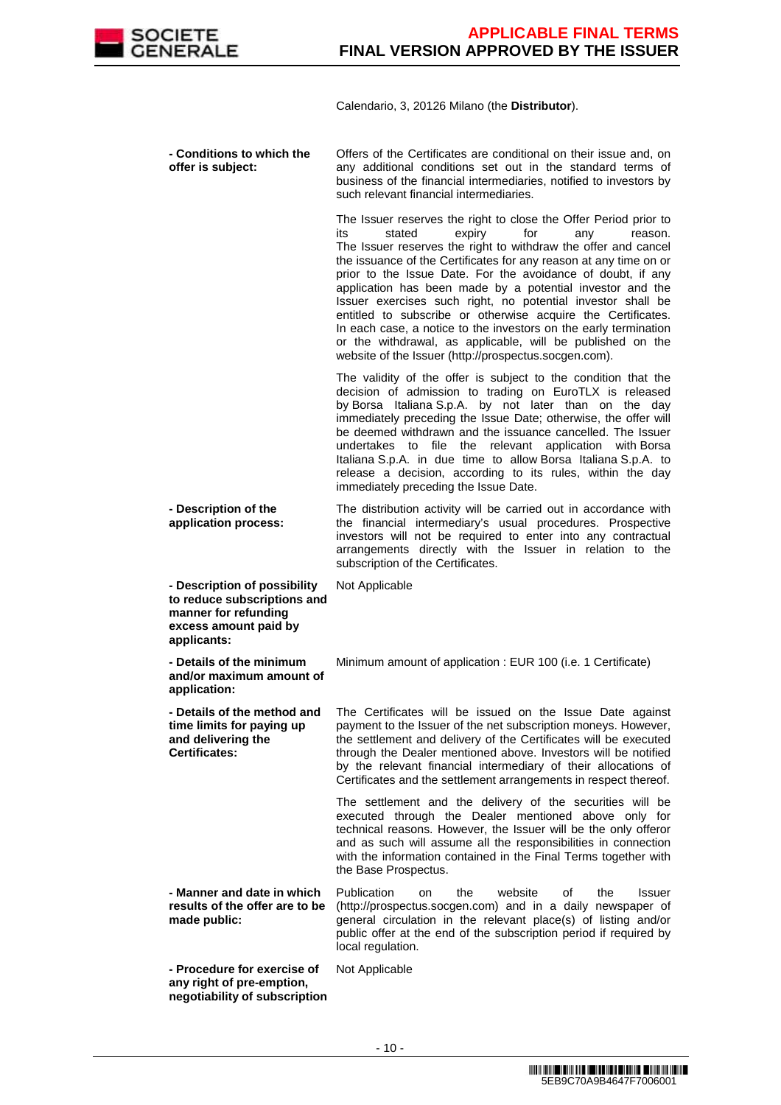

Calendario, 3, 20126 Milano (the **Distributor**).

 **- Conditions to which the offer is subject:** Offers of the Certificates are conditional on their issue and, on any additional conditions set out in the standard terms of business of the financial intermediaries, notified to investors by such relevant financial intermediaries. The Issuer reserves the right to close the Offer Period prior to its stated expiry for any reason. The Issuer reserves the right to withdraw the offer and cancel the issuance of the Certificates for any reason at any time on or prior to the Issue Date. For the avoidance of doubt, if any application has been made by a potential investor and the Issuer exercises such right, no potential investor shall be entitled to subscribe or otherwise acquire the Certificates. In each case, a notice to the investors on the early termination or the withdrawal, as applicable, will be published on the website of the Issuer (http://prospectus.socgen.com). The validity of the offer is subject to the condition that the decision of admission to trading on EuroTLX is released by Borsa Italiana S.p.A. by not later than on the day immediately preceding the Issue Date; otherwise, the offer will be deemed withdrawn and the issuance cancelled. The Issuer undertakes to file the relevant application with Borsa Italiana S.p.A. in due time to allow Borsa Italiana S.p.A. to release a decision, according to its rules, within the day immediately preceding the Issue Date. **- Description of the application process:** The distribution activity will be carried out in accordance with the financial intermediary's usual procedures. Prospective investors will not be required to enter into any contractual arrangements directly with the Issuer in relation to the subscription of the Certificates. **- Description of possibility to reduce subscriptions and manner for refunding excess amount paid by applicants:** Not Applicable **- Details of the minimum and/or maximum amount of application:** Minimum amount of application : EUR 100 (i.e. 1 Certificate) **- Details of the method and time limits for paying up and delivering the Certificates:** The Certificates will be issued on the Issue Date against payment to the Issuer of the net subscription moneys. However, the settlement and delivery of the Certificates will be executed through the Dealer mentioned above. Investors will be notified by the relevant financial intermediary of their allocations of Certificates and the settlement arrangements in respect thereof. The settlement and the delivery of the securities will be executed through the Dealer mentioned above only for technical reasons. However, the Issuer will be the only offeror and as such will assume all the responsibilities in connection with the information contained in the Final Terms together with the Base Prospectus. **- Manner and date in which results of the offer are to be made public:** Publication on the website of the Issuer (http://prospectus.socgen.com) and in a daily newspaper of general circulation in the relevant place(s) of listing and/or public offer at the end of the subscription period if required by local regulation. **- Procedure for exercise of any right of pre-emption, negotiability of subscription**  Not Applicable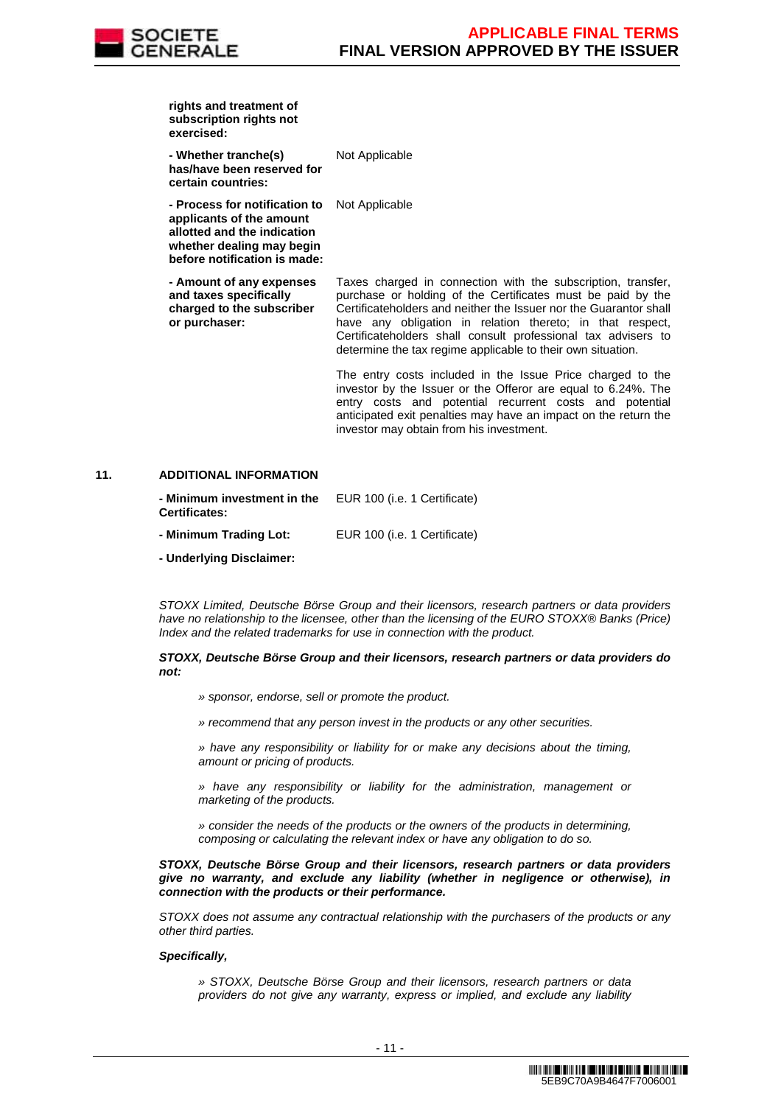

| rights and treatment of<br>subscription rights not<br>exercised:                                                                                      |                                                                                                                                                                                                                                                                                                                                                                                                                                                             |
|-------------------------------------------------------------------------------------------------------------------------------------------------------|-------------------------------------------------------------------------------------------------------------------------------------------------------------------------------------------------------------------------------------------------------------------------------------------------------------------------------------------------------------------------------------------------------------------------------------------------------------|
| - Whether tranche(s)<br>has/have been reserved for<br>certain countries:                                                                              | Not Applicable                                                                                                                                                                                                                                                                                                                                                                                                                                              |
| - Process for notification to<br>applicants of the amount<br>allotted and the indication<br>whether dealing may begin<br>before notification is made: | Not Applicable                                                                                                                                                                                                                                                                                                                                                                                                                                              |
| - Amount of any expenses<br>and taxes specifically<br>charged to the subscriber<br>or purchaser:                                                      | Taxes charged in connection with the subscription, transfer,<br>purchase or holding of the Certificates must be paid by the<br>Certificateholders and neither the Issuer nor the Guarantor shall<br>have any obligation in relation thereto; in that respect,<br>Certificateholders shall consult professional tax advisers to<br>determine the tax regime applicable to their own situation.<br>The entry costs included in the Issue Price charged to the |
|                                                                                                                                                       | investor by the Issuer or the Offeror are equal to 6.24%. The                                                                                                                                                                                                                                                                                                                                                                                               |

investor by the Issuer or the Offeror are equal to 6.24%. The entry costs and potential recurrent costs and potential anticipated exit penalties may have an impact on the return the investor may obtain from his investment.

### **11. ADDITIONAL INFORMATION**

| - Minimum investment in the<br><b>Certificates:</b> | EUR 100 (i.e. 1 Certificate) |
|-----------------------------------------------------|------------------------------|
| - Minimum Trading Lot:                              | EUR 100 (i.e. 1 Certificate) |
| - Underlying Disclaimer:                            |                              |

 STOXX Limited, Deutsche Börse Group and their licensors, research partners or data providers have no relationship to the licensee, other than the licensing of the EURO STOXX® Banks (Price) Index and the related trademarks for use in connection with the product.

#### **STOXX, Deutsche Börse Group and their licensors, research partners or data providers do not:**

- » sponsor, endorse, sell or promote the product.
- » recommend that any person invest in the products or any other securities.

» have any responsibility or liability for or make any decisions about the timing, amount or pricing of products.

» have any responsibility or liability for the administration, management or marketing of the products.

» consider the needs of the products or the owners of the products in determining, composing or calculating the relevant index or have any obligation to do so.

#### **STOXX, Deutsche Börse Group and their licensors, research partners or data providers give no warranty, and exclude any liability (whether in negligence or otherwise), in connection with the products or their performance.**

STOXX does not assume any contractual relationship with the purchasers of the products or any other third parties.

#### **Specifically,**

» STOXX, Deutsche Börse Group and their licensors, research partners or data providers do not give any warranty, express or implied, and exclude any liability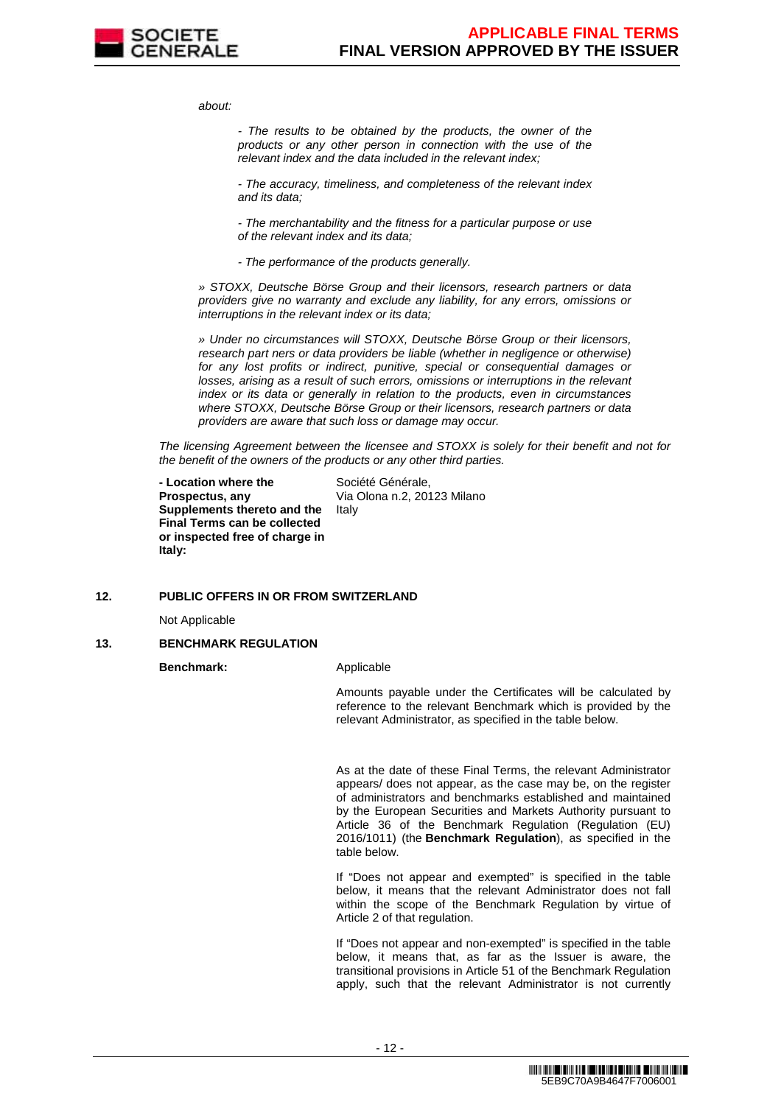

about:

- The results to be obtained by the products, the owner of the products or any other person in connection with the use of the relevant index and the data included in the relevant index;

- The accuracy, timeliness, and completeness of the relevant index and its data;

- The merchantability and the fitness for a particular purpose or use of the relevant index and its data;

- The performance of the products generally.

» STOXX, Deutsche Börse Group and their licensors, research partners or data providers give no warranty and exclude any liability, for any errors, omissions or interruptions in the relevant index or its data;

» Under no circumstances will STOXX, Deutsche Börse Group or their licensors, research part ners or data providers be liable (whether in negligence or otherwise) for any lost profits or indirect, punitive, special or consequential damages or losses, arising as a result of such errors, omissions or interruptions in the relevant index or its data or generally in relation to the products, even in circumstances where STOXX, Deutsche Börse Group or their licensors, research partners or data providers are aware that such loss or damage may occur.

The licensing Agreement between the licensee and STOXX is solely for their benefit and not for the benefit of the owners of the products or any other third parties.

 **- Location where the Prospectus, any Supplements thereto and the Final Terms can be collected or inspected free of charge in Italy:**

Société Générale, Via Olona n.2, 20123 Milano Italy

### **12. PUBLIC OFFERS IN OR FROM SWITZERLAND**

Not Applicable

### **13. BENCHMARK REGULATION**

**Benchmark:** Applicable

Amounts payable under the Certificates will be calculated by reference to the relevant Benchmark which is provided by the relevant Administrator, as specified in the table below.

As at the date of these Final Terms, the relevant Administrator appears/ does not appear, as the case may be, on the register of administrators and benchmarks established and maintained by the European Securities and Markets Authority pursuant to Article 36 of the Benchmark Regulation (Regulation (EU) 2016/1011) (the **Benchmark Regulation**), as specified in the table below.

If "Does not appear and exempted" is specified in the table below, it means that the relevant Administrator does not fall within the scope of the Benchmark Regulation by virtue of Article 2 of that regulation.

If "Does not appear and non-exempted" is specified in the table below, it means that, as far as the Issuer is aware, the transitional provisions in Article 51 of the Benchmark Regulation apply, such that the relevant Administrator is not currently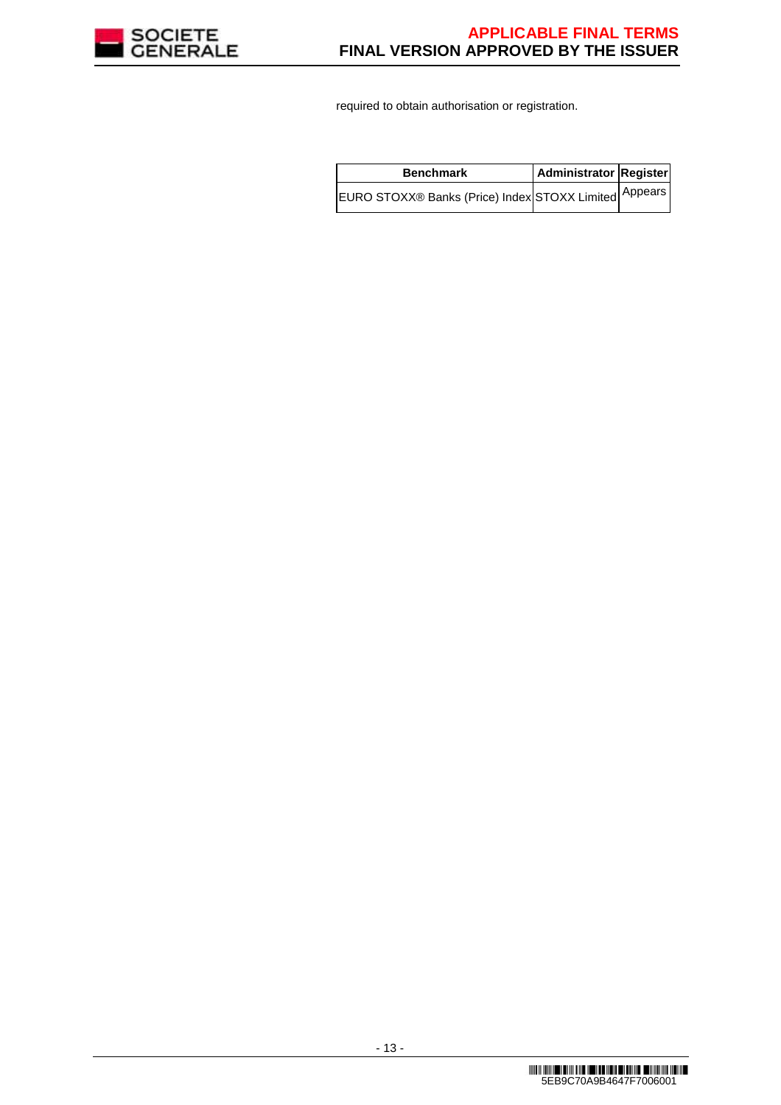

required to obtain authorisation or registration.

| <b>Benchmark</b>                                      | Administrator Register |  |
|-------------------------------------------------------|------------------------|--|
| EURO STOXX® Banks (Price) Index STOXX Limited Appears |                        |  |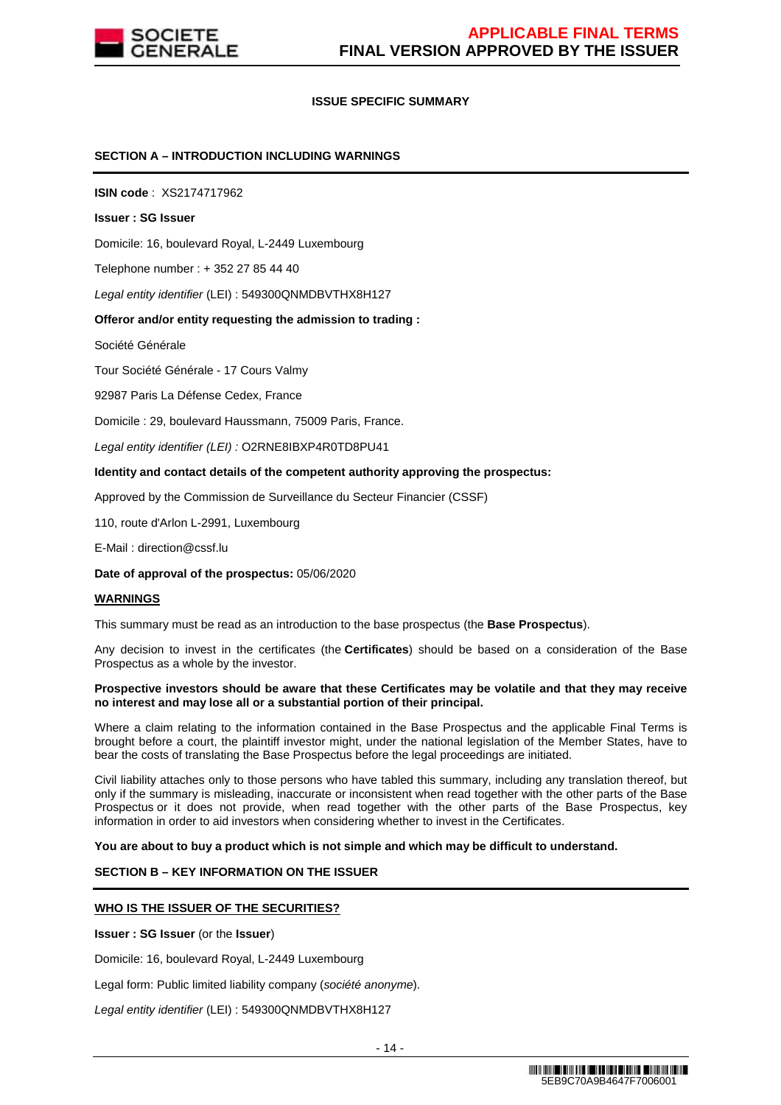

### **ISSUE SPECIFIC SUMMARY**

### **SECTION A – INTRODUCTION INCLUDING WARNINGS**

**ISIN code** : XS2174717962

#### **Issuer : SG Issuer**

Domicile: 16, boulevard Royal, L-2449 Luxembourg

Telephone number : + 352 27 85 44 40

Legal entity identifier (LEI) : 549300QNMDBVTHX8H127

### **Offeror and/or entity requesting the admission to trading :**

Société Générale

Tour Société Générale - 17 Cours Valmy

92987 Paris La Défense Cedex, France

Domicile : 29, boulevard Haussmann, 75009 Paris, France.

Legal entity identifier (LEI) : O2RNE8IBXP4R0TD8PU41

#### **Identity and contact details of the competent authority approving the prospectus:**

Approved by the Commission de Surveillance du Secteur Financier (CSSF)

110, route d'Arlon L-2991, Luxembourg

E-Mail : direction@cssf.lu

#### **Date of approval of the prospectus:** 05/06/2020

#### **WARNINGS**

This summary must be read as an introduction to the base prospectus (the **Base Prospectus**).

Any decision to invest in the certificates (the **Certificates**) should be based on a consideration of the Base Prospectus as a whole by the investor.

#### **Prospective investors should be aware that these Certificates may be volatile and that they may receive no interest and may lose all or a substantial portion of their principal.**

Where a claim relating to the information contained in the Base Prospectus and the applicable Final Terms is brought before a court, the plaintiff investor might, under the national legislation of the Member States, have to bear the costs of translating the Base Prospectus before the legal proceedings are initiated.

Civil liability attaches only to those persons who have tabled this summary, including any translation thereof, but only if the summary is misleading, inaccurate or inconsistent when read together with the other parts of the Base Prospectus or it does not provide, when read together with the other parts of the Base Prospectus, key information in order to aid investors when considering whether to invest in the Certificates.

**You are about to buy a product which is not simple and which may be difficult to understand.**

### **SECTION B – KEY INFORMATION ON THE ISSUER**

### **WHO IS THE ISSUER OF THE SECURITIES?**

**Issuer : SG Issuer** (or the **Issuer**)

Domicile: 16, boulevard Royal, L-2449 Luxembourg

Legal form: Public limited liability company (société anonyme).

Legal entity identifier (LEI) : 549300QNMDBVTHX8H127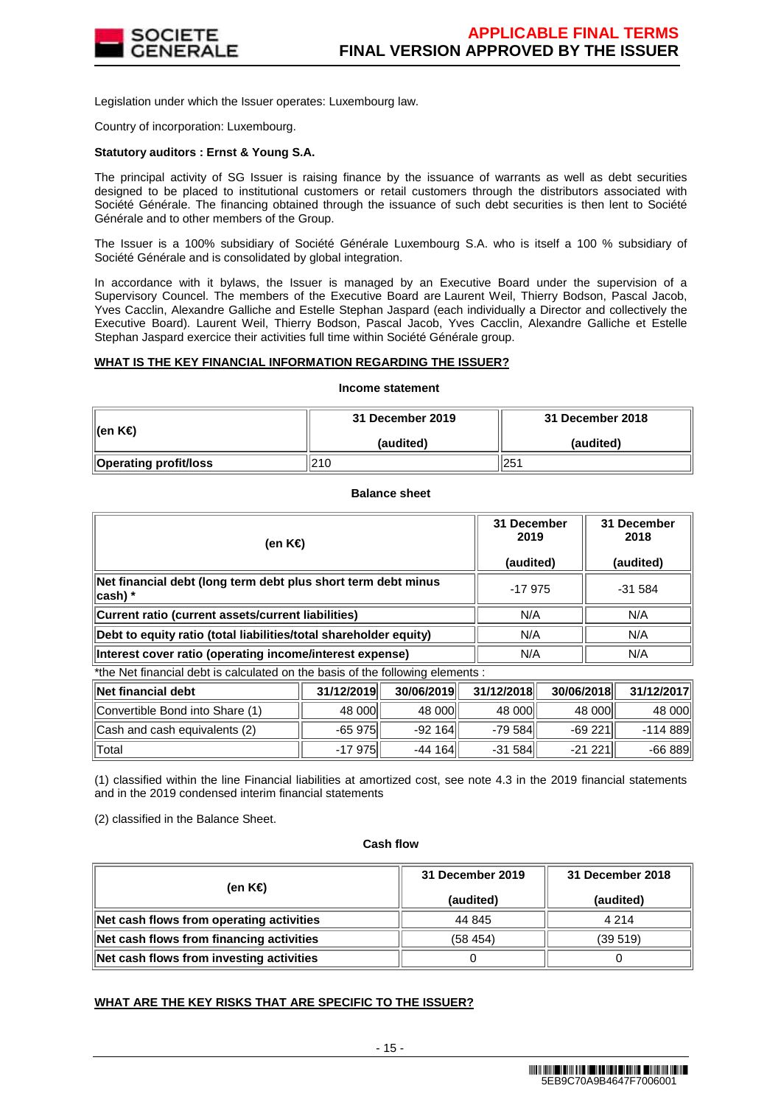

Legislation under which the Issuer operates: Luxembourg law.

Country of incorporation: Luxembourg.

# **Statutory auditors : Ernst & Young S.A.**

The principal activity of SG Issuer is raising finance by the issuance of warrants as well as debt securities designed to be placed to institutional customers or retail customers through the distributors associated with Société Générale. The financing obtained through the issuance of such debt securities is then lent to Société Générale and to other members of the Group.

The Issuer is a 100% subsidiary of Société Générale Luxembourg S.A. who is itself a 100 % subsidiary of Société Générale and is consolidated by global integration.

In accordance with it bylaws, the Issuer is managed by an Executive Board under the supervision of a Supervisory Councel. The members of the Executive Board are Laurent Weil, Thierry Bodson, Pascal Jacob, Yves Cacclin, Alexandre Galliche and Estelle Stephan Jaspard (each individually a Director and collectively the Executive Board). Laurent Weil, Thierry Bodson, Pascal Jacob, Yves Cacclin, Alexandre Galliche et Estelle Stephan Jaspard exercice their activities full time within Société Générale group.

### **WHAT IS THE KEY FINANCIAL INFORMATION REGARDING THE ISSUER?**

#### **Income statement**

| ∥(en K€)                     | 31 December 2019 | 31 December 2018 |  |
|------------------------------|------------------|------------------|--|
|                              | (audited)        | (audited)        |  |
| <b>Operating profit/loss</b> | 210              | 251              |  |

### **Balance sheet**

| (en K€)                                                                        | 31 December<br>2019 | 31 December<br>2018 |  |
|--------------------------------------------------------------------------------|---------------------|---------------------|--|
|                                                                                | (audited)           | (audited)           |  |
| Net financial debt (long term debt plus short term debt minus<br>∣cash) *      | $-17975$            | $-31584$            |  |
| Current ratio (current assets/current liabilities)                             | N/A                 | N/A                 |  |
| Debt to equity ratio (total liabilities/total shareholder equity)              | N/A                 | N/A                 |  |
| Interest cover ratio (operating income/interest expense)                       | N/A                 | N/A                 |  |
| *the Net financial debt is calculated on the basis of the following elements : |                     |                     |  |

the Net financial debt is calculated on the basis of the following elements :

| ∥Net financial debt             | 31/12/2019  | 30/06/2019 | 31/12/2018 | 30/06/2018 | 31/12/2017 |
|---------------------------------|-------------|------------|------------|------------|------------|
| Convertible Bond into Share (1) | 48 000      | 48 000     | 48 000     | 48 000     | 48 000l    |
| Cash and cash equivalents (2)   | $-65975$ ll | -92 164    | -79 584 ll | $-69221$   | $-114889$  |
| $\parallel$ Total               | -17 975     | -44 164    | $-31584$   | $-21221$   | $-66889$   |

(1) classified within the line Financial liabilities at amortized cost, see note 4.3 in the 2019 financial statements and in the 2019 condensed interim financial statements

(2) classified in the Balance Sheet.

### **Cash flow**

| (en K€)                                  | 31 December 2019    | 31 December 2018<br>(audited) |  |
|------------------------------------------|---------------------|-------------------------------|--|
|                                          | (audited)<br>44 845 | 4 2 1 4                       |  |
| Net cash flows from operating activities |                     |                               |  |
| Net cash flows from financing activities | (58, 454)           | (39519)                       |  |
| Net cash flows from investing activities |                     |                               |  |

# **WHAT ARE THE KEY RISKS THAT ARE SPECIFIC TO THE ISSUER?**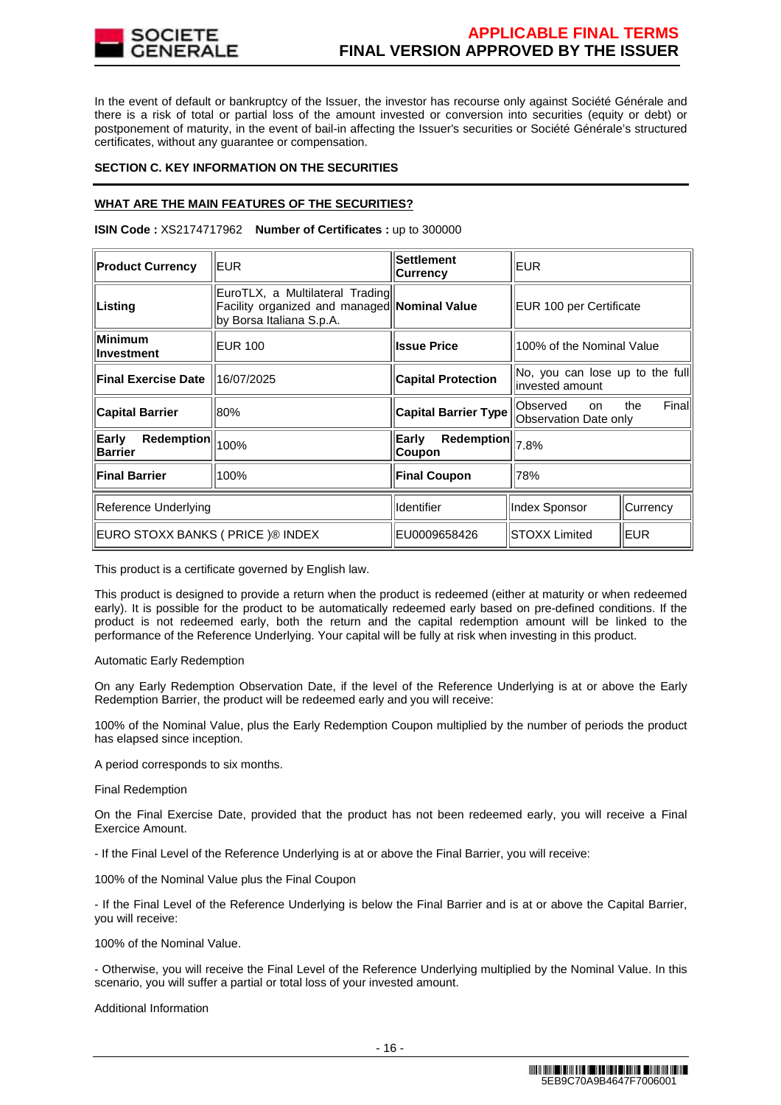

In the event of default or bankruptcy of the Issuer, the investor has recourse only against Société Générale and there is a risk of total or partial loss of the amount invested or conversion into securities (equity or debt) or postponement of maturity, in the event of bail-in affecting the Issuer's securities or Société Générale's structured certificates, without any guarantee or compensation.

### **SECTION C. KEY INFORMATION ON THE SECURITIES**

# **WHAT ARE THE MAIN FEATURES OF THE SECURITIES?**

**ISIN Code :** XS2174717962 **Number of Certificates :** up to 300000

| <b>Product Currency</b>               | EUR.                                                                                                        | Settlement<br><b>Currency</b> | <b>EUR</b>                                          |               |
|---------------------------------------|-------------------------------------------------------------------------------------------------------------|-------------------------------|-----------------------------------------------------|---------------|
| Listing                               | EuroTLX, a Multilateral Trading<br>Facility organized and managed Nominal Value<br>by Borsa Italiana S.p.A. |                               | EUR 100 per Certificate                             |               |
| Minimum<br>llnvestment                | <b>EUR 100</b>                                                                                              | <b>Issue Price</b>            | 100% of the Nominal Value                           |               |
| <b>Final Exercise Date</b>            | 16/07/2025                                                                                                  | <b>Capital Protection</b>     | No, you can lose up to the full<br>linvested amount |               |
| <b>Capital Barrier</b>                | 80%                                                                                                         | <b>Capital Barrier Type</b>   | Observed<br><sub>on</sub><br>Observation Date only  | Finall<br>the |
| Early<br>Redemption<br><b>Barrier</b> | 100%                                                                                                        | Redemption<br>Early<br>Coupon | 7.8%                                                |               |
| <b>Final Barrier</b>                  | 100%                                                                                                        | <b>Final Coupon</b>           | 78%                                                 |               |
| Reference Underlying                  |                                                                                                             | Identifier                    | Index Sponsor                                       | Currency      |
| EURO STOXX BANKS ( PRICE )® INDEX     |                                                                                                             | EU0009658426                  | <b>STOXX Limited</b>                                | <b>EUR</b>    |

This product is a certificate governed by English law.

This product is designed to provide a return when the product is redeemed (either at maturity or when redeemed early). It is possible for the product to be automatically redeemed early based on pre-defined conditions. If the product is not redeemed early, both the return and the capital redemption amount will be linked to the performance of the Reference Underlying. Your capital will be fully at risk when investing in this product.

### Automatic Early Redemption

On any Early Redemption Observation Date, if the level of the Reference Underlying is at or above the Early Redemption Barrier, the product will be redeemed early and you will receive:

100% of the Nominal Value, plus the Early Redemption Coupon multiplied by the number of periods the product has elapsed since inception.

A period corresponds to six months.

Final Redemption

On the Final Exercise Date, provided that the product has not been redeemed early, you will receive a Final Exercice Amount.

- If the Final Level of the Reference Underlying is at or above the Final Barrier, you will receive:

100% of the Nominal Value plus the Final Coupon

- If the Final Level of the Reference Underlying is below the Final Barrier and is at or above the Capital Barrier, you will receive:

100% of the Nominal Value.

- Otherwise, you will receive the Final Level of the Reference Underlying multiplied by the Nominal Value. In this scenario, you will suffer a partial or total loss of your invested amount.

Additional Information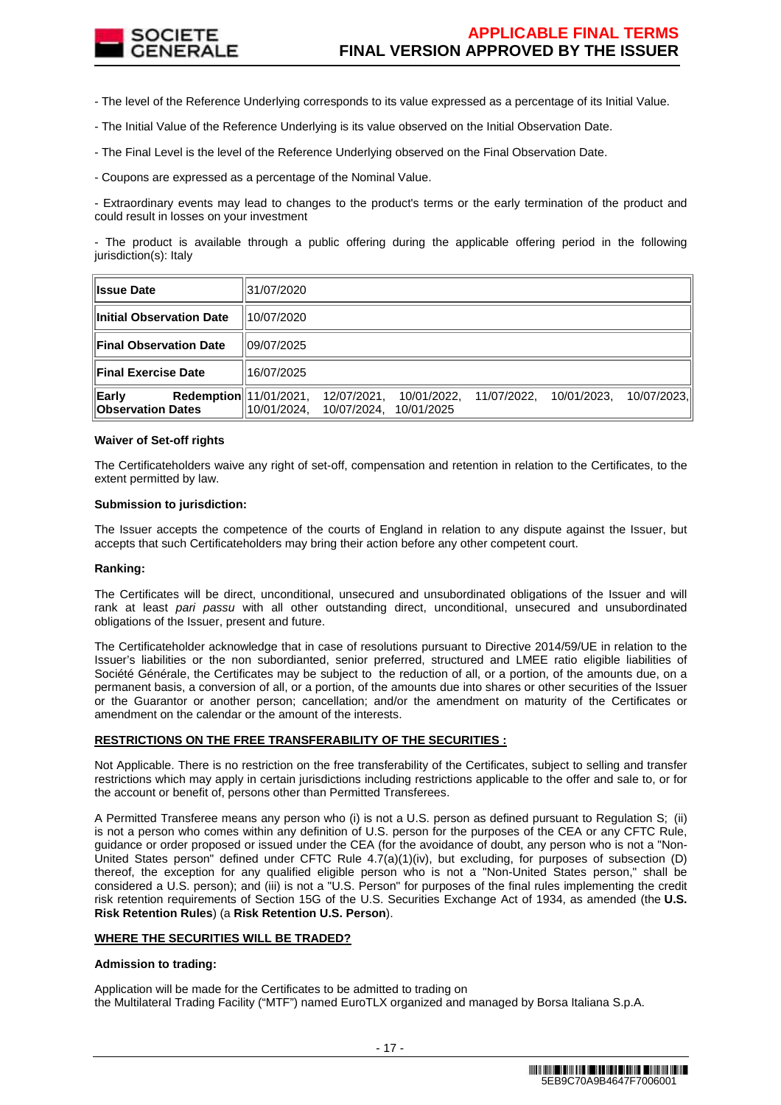

- The level of the Reference Underlying corresponds to its value expressed as a percentage of its Initial Value.

- The Initial Value of the Reference Underlying is its value observed on the Initial Observation Date.

- The Final Level is the level of the Reference Underlying observed on the Final Observation Date.

- Coupons are expressed as a percentage of the Nominal Value.

- Extraordinary events may lead to changes to the product's terms or the early termination of the product and could result in losses on your investment

- The product is available through a public offering during the applicable offering period in the following jurisdiction(s): Italy

| <b>Issue Date</b>                                                  | 31/07/2020  |                            |            |                         |             |             |
|--------------------------------------------------------------------|-------------|----------------------------|------------|-------------------------|-------------|-------------|
| <b>Initial Observation Date</b>                                    | 110/07/2020 |                            |            |                         |             |             |
| <b>Final Observation Date</b>                                      | 109/07/2025 |                            |            |                         |             |             |
| <b>Final Exercise Date</b>                                         | 16/07/2025  |                            |            |                         |             |             |
| Early<br><b>Redemption</b> 11/01/2021,<br><b>Observation Dates</b> | 10/01/2024. | 12/07/2021.<br>10/07/2024. | 10/01/2025 | 10/01/2022, 11/07/2022, | 10/01/2023. | 10/07/2023. |

### **Waiver of Set-off rights**

The Certificateholders waive any right of set-off, compensation and retention in relation to the Certificates, to the extent permitted by law.

### **Submission to jurisdiction:**

The Issuer accepts the competence of the courts of England in relation to any dispute against the Issuer, but accepts that such Certificateholders may bring their action before any other competent court.

### **Ranking:**

The Certificates will be direct, unconditional, unsecured and unsubordinated obligations of the Issuer and will rank at least pari passu with all other outstanding direct, unconditional, unsecured and unsubordinated obligations of the Issuer, present and future.

The Certificateholder acknowledge that in case of resolutions pursuant to Directive 2014/59/UE in relation to the Issuer's liabilities or the non subordianted, senior preferred, structured and LMEE ratio eligible liabilities of Société Générale, the Certificates may be subject to the reduction of all, or a portion, of the amounts due, on a permanent basis, a conversion of all, or a portion, of the amounts due into shares or other securities of the Issuer or the Guarantor or another person; cancellation; and/or the amendment on maturity of the Certificates or amendment on the calendar or the amount of the interests.

# **RESTRICTIONS ON THE FREE TRANSFERABILITY OF THE SECURITIES :**

Not Applicable. There is no restriction on the free transferability of the Certificates, subject to selling and transfer restrictions which may apply in certain jurisdictions including restrictions applicable to the offer and sale to, or for the account or benefit of, persons other than Permitted Transferees.

A Permitted Transferee means any person who (i) is not a U.S. person as defined pursuant to Regulation S; (ii) is not a person who comes within any definition of U.S. person for the purposes of the CEA or any CFTC Rule, guidance or order proposed or issued under the CEA (for the avoidance of doubt, any person who is not a "Non-United States person" defined under CFTC Rule 4.7(a)(1)(iv), but excluding, for purposes of subsection (D) thereof, the exception for any qualified eligible person who is not a "Non-United States person," shall be considered a U.S. person); and (iii) is not a "U.S. Person" for purposes of the final rules implementing the credit risk retention requirements of Section 15G of the U.S. Securities Exchange Act of 1934, as amended (the **U.S. Risk Retention Rules**) (a **Risk Retention U.S. Person**).

### **WHERE THE SECURITIES WILL BE TRADED?**

### **Admission to trading:**

Application will be made for the Certificates to be admitted to trading on the Multilateral Trading Facility ("MTF") named EuroTLX organized and managed by Borsa Italiana S.p.A.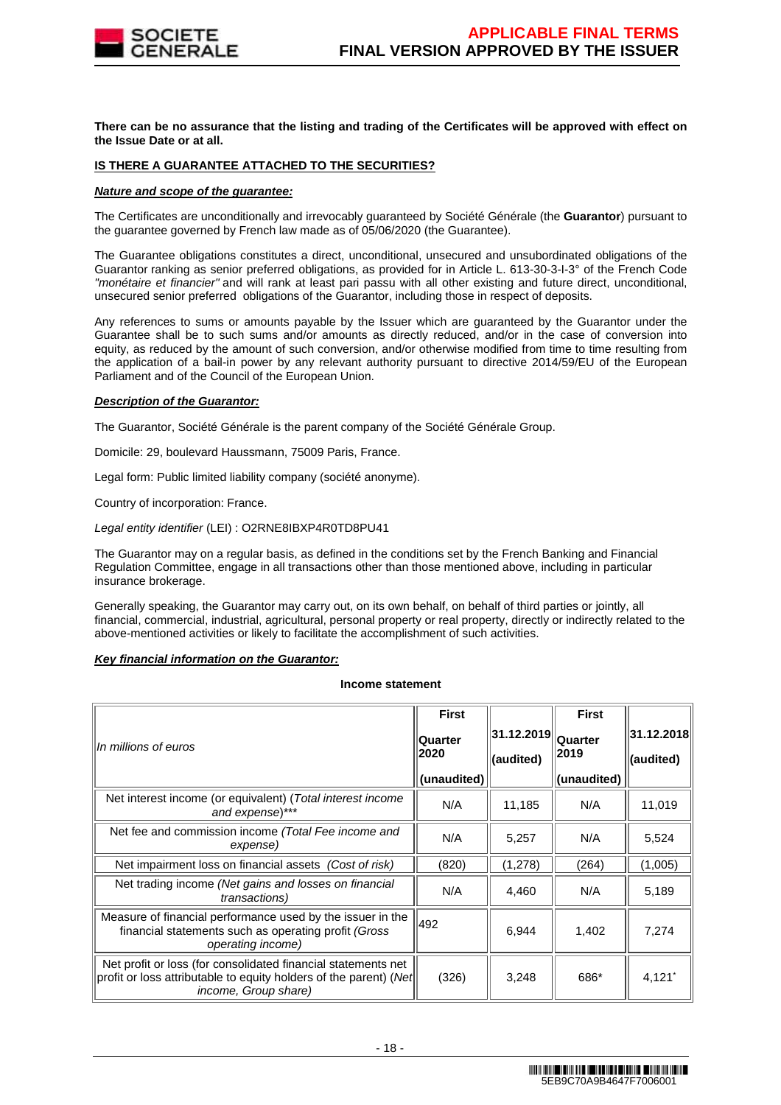

**There can be no assurance that the listing and trading of the Certificates will be approved with effect on the Issue Date or at all.**

### **IS THERE A GUARANTEE ATTACHED TO THE SECURITIES?**

### **Nature and scope of the guarantee:**

The Certificates are unconditionally and irrevocably guaranteed by Société Générale (the **Guarantor**) pursuant to the guarantee governed by French law made as of 05/06/2020 (the Guarantee).

The Guarantee obligations constitutes a direct, unconditional, unsecured and unsubordinated obligations of the Guarantor ranking as senior preferred obligations, as provided for in Article L. 613-30-3-I-3° of the French Code "monétaire et financier" and will rank at least pari passu with all other existing and future direct, unconditional, unsecured senior preferred obligations of the Guarantor, including those in respect of deposits.

Any references to sums or amounts payable by the Issuer which are guaranteed by the Guarantor under the Guarantee shall be to such sums and/or amounts as directly reduced, and/or in the case of conversion into equity, as reduced by the amount of such conversion, and/or otherwise modified from time to time resulting from the application of a bail-in power by any relevant authority pursuant to directive 2014/59/EU of the European Parliament and of the Council of the European Union.

### **Description of the Guarantor:**

The Guarantor, Société Générale is the parent company of the Société Générale Group.

Domicile: 29, boulevard Haussmann, 75009 Paris, France.

Legal form: Public limited liability company (société anonyme).

Country of incorporation: France.

Legal entity identifier (LEI) : O2RNE8IBXP4R0TD8PU41

The Guarantor may on a regular basis, as defined in the conditions set by the French Banking and Financial Regulation Committee, engage in all transactions other than those mentioned above, including in particular insurance brokerage.

Generally speaking, the Guarantor may carry out, on its own behalf, on behalf of third parties or jointly, all financial, commercial, industrial, agricultural, personal property or real property, directly or indirectly related to the above-mentioned activities or likely to facilitate the accomplishment of such activities.

### **Key financial information on the Guarantor:**

#### **Income statement**

|                                                                                                                                                                   | <b>First</b>                          |                          | <b>First</b>                   |                         |
|-------------------------------------------------------------------------------------------------------------------------------------------------------------------|---------------------------------------|--------------------------|--------------------------------|-------------------------|
| In millions of euros                                                                                                                                              | <b>Quarter</b><br>2020<br>(unaudited) | 31.12.2019 <br>(audited) | Quarter<br>2019<br>(unaudited) | 31.12.2018<br>(audited) |
|                                                                                                                                                                   |                                       |                          |                                |                         |
| Net interest income (or equivalent) (Total interest income<br>and expense)***                                                                                     | N/A                                   | 11,185                   | N/A                            | 11,019                  |
| Net fee and commission income (Total Fee income and<br>expense)                                                                                                   | N/A                                   | 5,257                    | N/A                            | 5,524                   |
| Net impairment loss on financial assets (Cost of risk)                                                                                                            | (820)                                 | (1,278)                  | (264)                          | (1,005)                 |
| Net trading income (Net gains and losses on financial<br><i>transactions</i> )                                                                                    | N/A                                   | 4,460                    | N/A                            | 5,189                   |
| Measure of financial performance used by the issuer in the<br>financial statements such as operating profit (Gross<br>operating income)                           | 492                                   | 6.944                    | 1,402                          | 7,274                   |
| Net profit or loss (for consolidated financial statements net<br>profit or loss attributable to equity holders of the parent) (Net<br><i>income, Group share)</i> | (326)                                 | 3,248                    | 686*                           | 4,121'                  |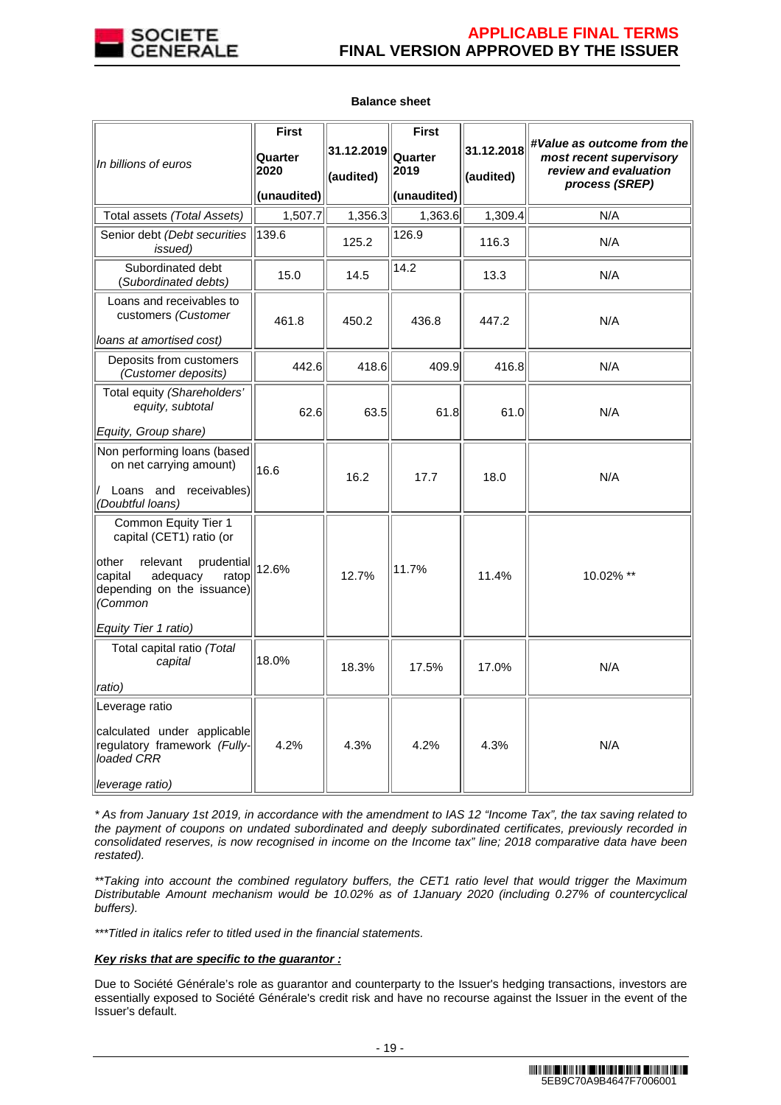

|                                                                                                                                                                                      | <b>First</b>                   |                         | <b>First</b>                   |                         |                                                                                                  |
|--------------------------------------------------------------------------------------------------------------------------------------------------------------------------------------|--------------------------------|-------------------------|--------------------------------|-------------------------|--------------------------------------------------------------------------------------------------|
| In billions of euros                                                                                                                                                                 | Quarter<br>2020<br>(unaudited) | 31.12.2019<br>(audited) | Quarter<br>2019<br>(unaudited) | 31.12.2018<br>(audited) | #Value as outcome from the<br>most recent supervisory<br>review and evaluation<br>process (SREP) |
| Total assets (Total Assets)                                                                                                                                                          | 1,507.7                        | 1,356.3                 | 1,363.6                        | 1,309.4                 | N/A                                                                                              |
| Senior debt (Debt securities<br><i>issued</i> )                                                                                                                                      | 139.6                          | 125.2                   | 126.9                          | 116.3                   | N/A                                                                                              |
| Subordinated debt<br>(Subordinated debts)                                                                                                                                            | 15.0                           | 14.5                    | 14.2                           | 13.3                    | N/A                                                                                              |
| Loans and receivables to<br>customers (Customer<br>loans at amortised cost)                                                                                                          | 461.8                          | 450.2                   | 436.8                          | 447.2                   | N/A                                                                                              |
| Deposits from customers<br>(Customer deposits)                                                                                                                                       | 442.6                          | 418.6                   | 409.9                          | 416.8                   | N/A                                                                                              |
| Total equity (Shareholders'<br>equity, subtotal<br>Equity, Group share)                                                                                                              | 62.6                           | 63.5                    | 61.8                           | 61.0                    | N/A                                                                                              |
| Non performing loans (based<br>on net carrying amount)<br>Loans and receivables)<br>(Doubtful loans)                                                                                 | 16.6                           | 16.2                    | 17.7                           | 18.0                    | N/A                                                                                              |
| Common Equity Tier 1<br>capital (CET1) ratio (or<br>other<br>relevant<br>prudential<br>adequacy<br>capital<br>ratop<br>depending on the issuance)<br>(Common<br>Equity Tier 1 ratio) | 12.6%                          | 12.7%                   | 11.7%                          | 11.4%                   | 10.02% **                                                                                        |
| Total capital ratio (Total<br>capital<br>ratio)                                                                                                                                      | 18.0%                          | 18.3%                   | 17.5%                          | 17.0%                   | N/A                                                                                              |
| Leverage ratio<br>calculated under applicable<br>regulatory framework (Fully-<br>loaded CRR<br>leverage ratio)                                                                       | 4.2%                           | 4.3%                    | 4.2%                           | 4.3%                    | N/A                                                                                              |

### **Balance sheet**

\* As from January 1st 2019, in accordance with the amendment to IAS 12 "Income Tax", the tax saving related to the payment of coupons on undated subordinated and deeply subordinated certificates, previously recorded in consolidated reserves, is now recognised in income on the Income tax" line; 2018 comparative data have been restated).

\*\*Taking into account the combined regulatory buffers, the CET1 ratio level that would trigger the Maximum Distributable Amount mechanism would be 10.02% as of 1January 2020 (including 0.27% of countercyclical buffers).

\*\*\*Titled in italics refer to titled used in the financial statements.

# **Key risks that are specific to the guarantor :**

Due to Société Générale's role as guarantor and counterparty to the Issuer's hedging transactions, investors are essentially exposed to Société Générale's credit risk and have no recourse against the Issuer in the event of the Issuer's default.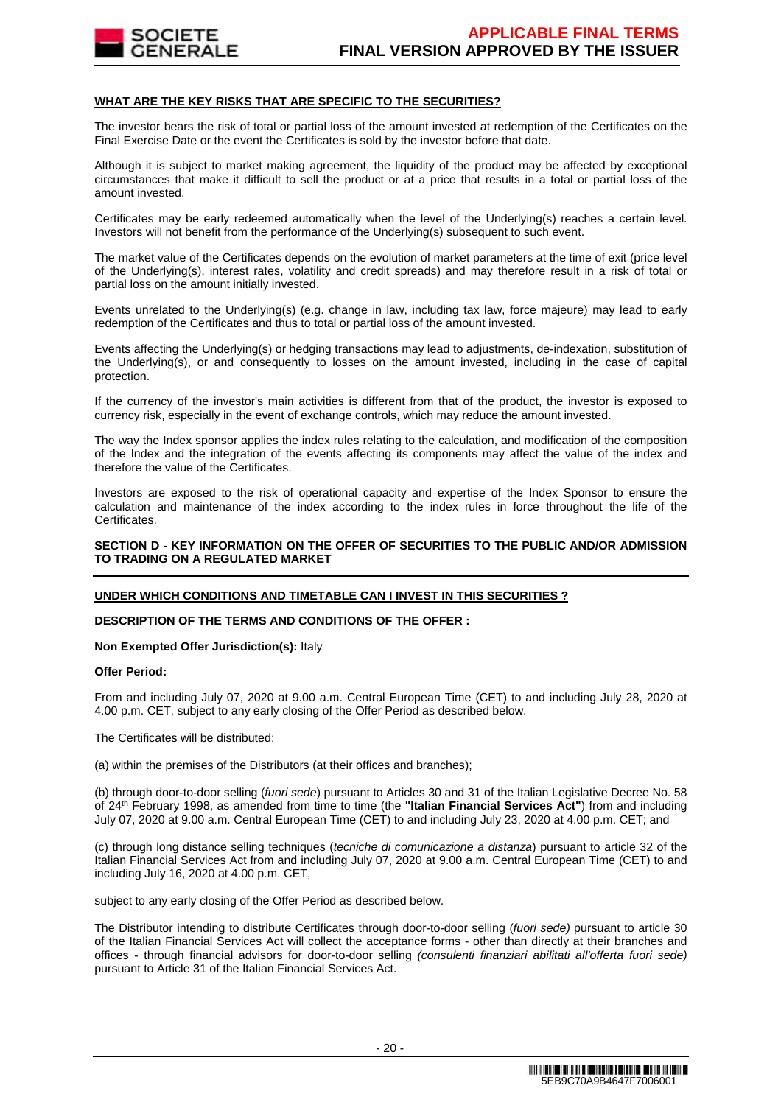

### **WHAT ARE THE KEY RISKS THAT ARE SPECIFIC TO THE SECURITIES?**

The investor bears the risk of total or partial loss of the amount invested at redemption of the Certificates on the Final Exercise Date or the event the Certificates is sold by the investor before that date.

Although it is subject to market making agreement, the liquidity of the product may be affected by exceptional circumstances that make it difficult to sell the product or at a price that results in a total or partial loss of the amount invested.

Certificates may be early redeemed automatically when the level of the Underlying(s) reaches a certain level. Investors will not benefit from the performance of the Underlying(s) subsequent to such event.

The market value of the Certificates depends on the evolution of market parameters at the time of exit (price level of the Underlying(s), interest rates, volatility and credit spreads) and may therefore result in a risk of total or partial loss on the amount initially invested.

Events unrelated to the Underlying(s) (e.g. change in law, including tax law, force majeure) may lead to early redemption of the Certificates and thus to total or partial loss of the amount invested.

Events affecting the Underlying(s) or hedging transactions may lead to adjustments, de-indexation, substitution of the Underlying(s), or and consequently to losses on the amount invested, including in the case of capital protection.

If the currency of the investor's main activities is different from that of the product, the investor is exposed to currency risk, especially in the event of exchange controls, which may reduce the amount invested.

The way the Index sponsor applies the index rules relating to the calculation, and modification of the composition of the Index and the integration of the events affecting its components may affect the value of the index and therefore the value of the Certificates.

Investors are exposed to the risk of operational capacity and expertise of the Index Sponsor to ensure the calculation and maintenance of the index according to the index rules in force throughout the life of the Certificates.

### **SECTION D - KEY INFORMATION ON THE OFFER OF SECURITIES TO THE PUBLIC AND/OR ADMISSION TO TRADING ON A REGULATED MARKET**

# **UNDER WHICH CONDITIONS AND TIMETABLE CAN I INVEST IN THIS SECURITIES ?**

### **DESCRIPTION OF THE TERMS AND CONDITIONS OF THE OFFER :**

#### **Non Exempted Offer Jurisdiction(s):** Italy

### **Offer Period:**

From and including July 07, 2020 at 9.00 a.m. Central European Time (CET) to and including July 28, 2020 at 4.00 p.m. CET, subject to any early closing of the Offer Period as described below.

The Certificates will be distributed:

(a) within the premises of the Distributors (at their offices and branches);

(b) through door-to-door selling (fuori sede) pursuant to Articles 30 and 31 of the Italian Legislative Decree No. 58 of 24th February 1998, as amended from time to time (the **"Italian Financial Services Act"**) from and including July 07, 2020 at 9.00 a.m. Central European Time (CET) to and including July 23, 2020 at 4.00 p.m. CET; and

(c) through long distance selling techniques (tecniche di comunicazione a distanza) pursuant to article 32 of the Italian Financial Services Act from and including July 07, 2020 at 9.00 a.m. Central European Time (CET) to and including July 16, 2020 at 4.00 p.m. CET,

subject to any early closing of the Offer Period as described below.

The Distributor intending to distribute Certificates through door-to-door selling (fuori sede) pursuant to article 30 of the Italian Financial Services Act will collect the acceptance forms - other than directly at their branches and offices - through financial advisors for door-to-door selling (consulenti finanziari abilitati all'offerta fuori sede) pursuant to Article 31 of the Italian Financial Services Act.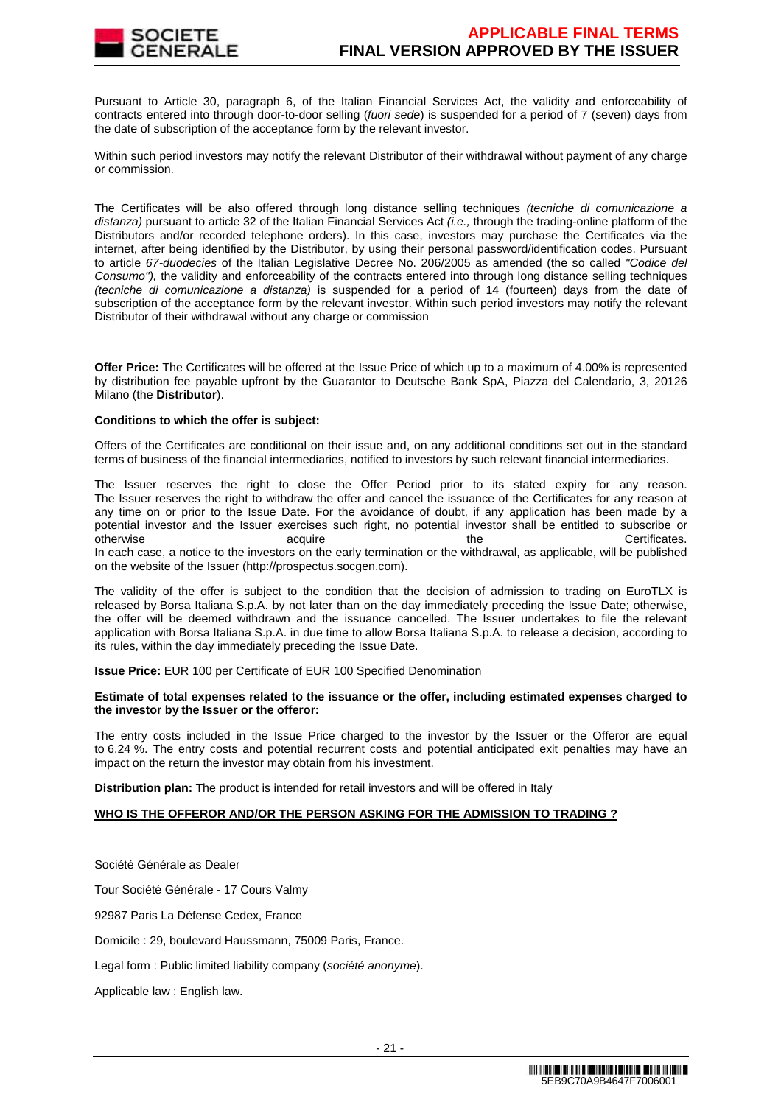

Pursuant to Article 30, paragraph 6, of the Italian Financial Services Act, the validity and enforceability of contracts entered into through door-to-door selling (fuori sede) is suspended for a period of 7 (seven) days from the date of subscription of the acceptance form by the relevant investor.

Within such period investors may notify the relevant Distributor of their withdrawal without payment of any charge or commission.

The Certificates will be also offered through long distance selling techniques (tecniche di comunicazione a distanza) pursuant to article 32 of the Italian Financial Services Act  $(i.e.,$  through the trading-online platform of the Distributors and/or recorded telephone orders). In this case, investors may purchase the Certificates via the internet, after being identified by the Distributor, by using their personal password/identification codes. Pursuant to article 67-duodecies of the Italian Legislative Decree No. 206/2005 as amended (the so called "Codice del Consumo"), the validity and enforceability of the contracts entered into through long distance selling techniques (tecniche di comunicazione a distanza) is suspended for a period of 14 (fourteen) days from the date of subscription of the acceptance form by the relevant investor. Within such period investors may notify the relevant Distributor of their withdrawal without any charge or commission

**Offer Price:** The Certificates will be offered at the Issue Price of which up to a maximum of 4.00% is represented by distribution fee payable upfront by the Guarantor to Deutsche Bank SpA, Piazza del Calendario, 3, 20126 Milano (the **Distributor**).

### **Conditions to which the offer is subject:**

Offers of the Certificates are conditional on their issue and, on any additional conditions set out in the standard terms of business of the financial intermediaries, notified to investors by such relevant financial intermediaries.

The Issuer reserves the right to close the Offer Period prior to its stated expiry for any reason. The Issuer reserves the right to withdraw the offer and cancel the issuance of the Certificates for any reason at any time on or prior to the Issue Date. For the avoidance of doubt, if any application has been made by a potential investor and the Issuer exercises such right, no potential investor shall be entitled to subscribe or otherwise acquire acquire the the Certificates. In each case, a notice to the investors on the early termination or the withdrawal, as applicable, will be published on the website of the Issuer (http://prospectus.socgen.com).

The validity of the offer is subject to the condition that the decision of admission to trading on EuroTLX is released by Borsa Italiana S.p.A. by not later than on the day immediately preceding the Issue Date; otherwise, the offer will be deemed withdrawn and the issuance cancelled. The Issuer undertakes to file the relevant application with Borsa Italiana S.p.A. in due time to allow Borsa Italiana S.p.A. to release a decision, according to its rules, within the day immediately preceding the Issue Date.

**Issue Price:** EUR 100 per Certificate of EUR 100 Specified Denomination

### **Estimate of total expenses related to the issuance or the offer, including estimated expenses charged to the investor by the Issuer or the offeror:**

The entry costs included in the Issue Price charged to the investor by the Issuer or the Offeror are equal to 6.24 %. The entry costs and potential recurrent costs and potential anticipated exit penalties may have an impact on the return the investor may obtain from his investment.

**Distribution plan:** The product is intended for retail investors and will be offered in Italy

### **WHO IS THE OFFEROR AND/OR THE PERSON ASKING FOR THE ADMISSION TO TRADING ?**

Société Générale as Dealer Tour Société Générale - 17 Cours Valmy 92987 Paris La Défense Cedex, France Domicile : 29, boulevard Haussmann, 75009 Paris, France. Legal form : Public limited liability company (société anonyme). Applicable law : English law.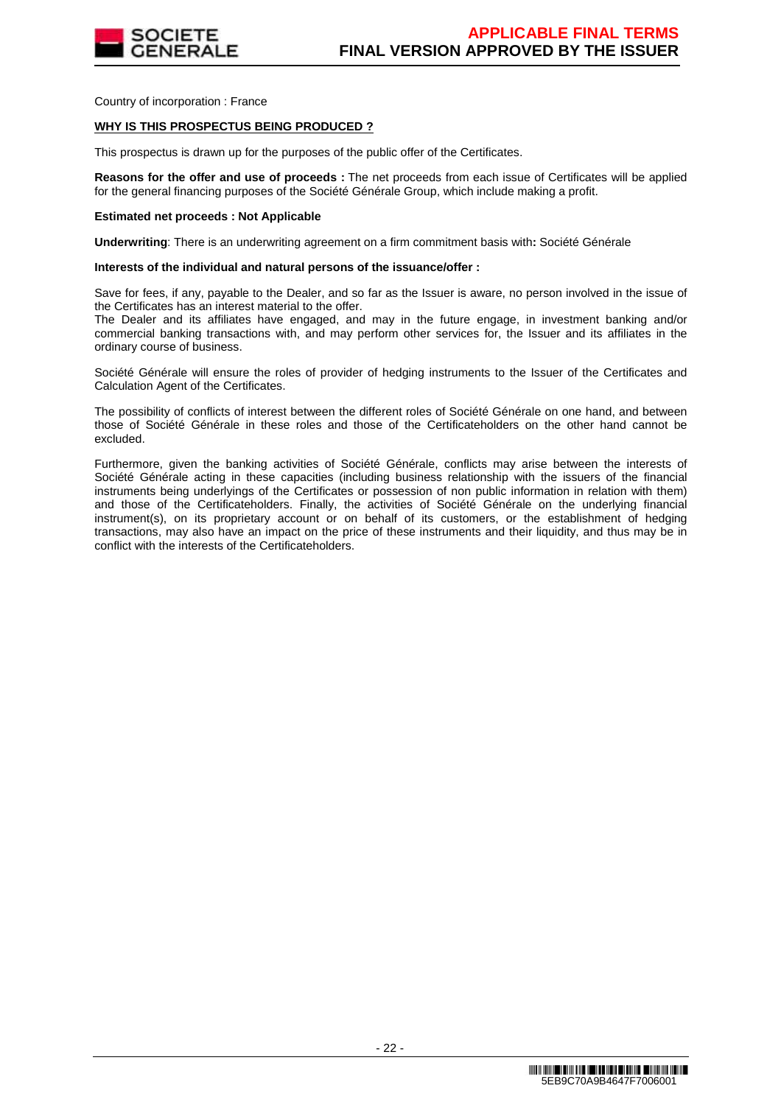

Country of incorporation : France

### **WHY IS THIS PROSPECTUS BEING PRODUCED ?**

This prospectus is drawn up for the purposes of the public offer of the Certificates.

**Reasons for the offer and use of proceeds :** The net proceeds from each issue of Certificates will be applied for the general financing purposes of the Société Générale Group, which include making a profit.

#### **Estimated net proceeds : Not Applicable**

**Underwriting**: There is an underwriting agreement on a firm commitment basis with**:** Société Générale

#### **Interests of the individual and natural persons of the issuance/offer :**

Save for fees, if any, payable to the Dealer, and so far as the Issuer is aware, no person involved in the issue of the Certificates has an interest material to the offer.

The Dealer and its affiliates have engaged, and may in the future engage, in investment banking and/or commercial banking transactions with, and may perform other services for, the Issuer and its affiliates in the ordinary course of business.

Société Générale will ensure the roles of provider of hedging instruments to the Issuer of the Certificates and Calculation Agent of the Certificates.

The possibility of conflicts of interest between the different roles of Société Générale on one hand, and between those of Société Générale in these roles and those of the Certificateholders on the other hand cannot be excluded.

Furthermore, given the banking activities of Société Générale, conflicts may arise between the interests of Société Générale acting in these capacities (including business relationship with the issuers of the financial instruments being underlyings of the Certificates or possession of non public information in relation with them) and those of the Certificateholders. Finally, the activities of Société Générale on the underlying financial instrument(s), on its proprietary account or on behalf of its customers, or the establishment of hedging transactions, may also have an impact on the price of these instruments and their liquidity, and thus may be in conflict with the interests of the Certificateholders.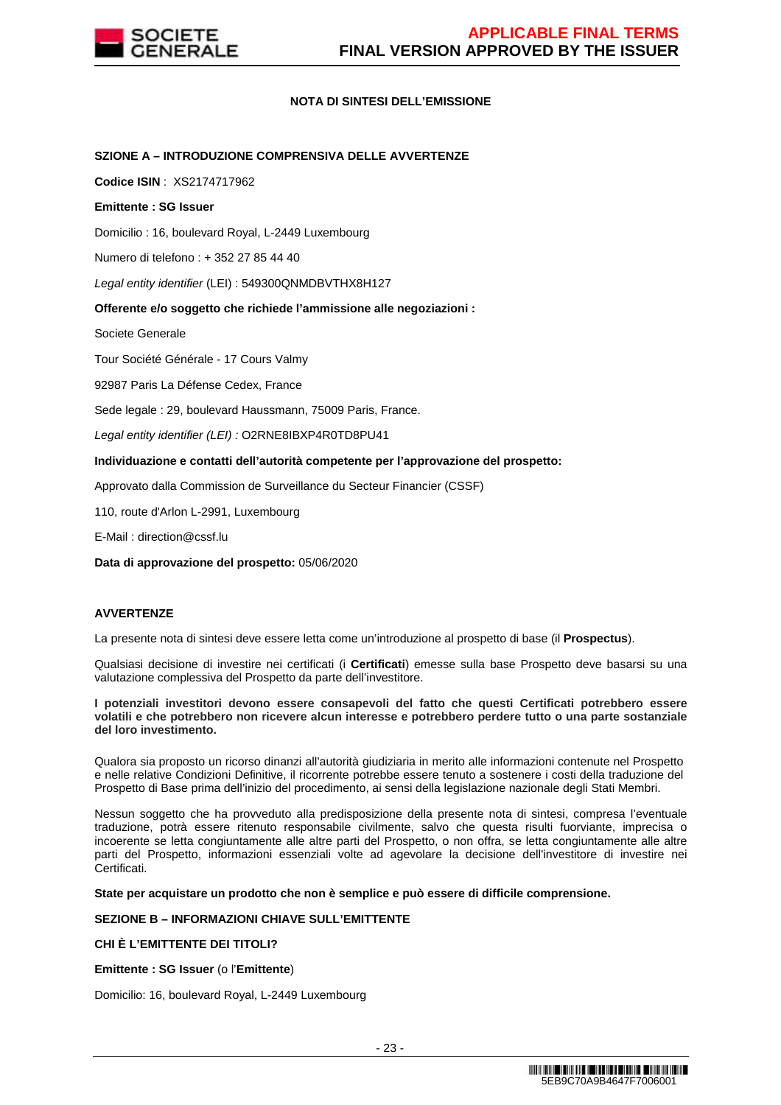

### **NOTA DI SINTESI DELL'EMISSIONE**

### **SZIONE A – INTRODUZIONE COMPRENSIVA DELLE AVVERTENZE**

**Codice ISIN** : XS2174717962

### **Emittente : SG Issuer**

Domicilio : 16, boulevard Royal, L-2449 Luxembourg

Numero di telefono : + 352 27 85 44 40

Legal entity identifier (LEI) : 549300QNMDBVTHX8H127

### **Offerente e/o soggetto che richiede l'ammissione alle negoziazioni :**

Societe Generale

Tour Société Générale - 17 Cours Valmy

92987 Paris La Défense Cedex, France

Sede legale : 29, boulevard Haussmann, 75009 Paris, France.

Legal entity identifier (LEI) : O2RNE8IBXP4R0TD8PU41

### **Individuazione e contatti dell'autorità competente per l'approvazione del prospetto:**

Approvato dalla Commission de Surveillance du Secteur Financier (CSSF)

110, route d'Arlon L-2991, Luxembourg

E-Mail : direction@cssf.lu

**Data di approvazione del prospetto:** 05/06/2020

# **AVVERTENZE**

La presente nota di sintesi deve essere letta come un'introduzione al prospetto di base (il **Prospectus**).

Qualsiasi decisione di investire nei certificati (i **Certificati**) emesse sulla base Prospetto deve basarsi su una valutazione complessiva del Prospetto da parte dell'investitore.

#### **I potenziali investitori devono essere consapevoli del fatto che questi Certificati potrebbero essere volatili e che potrebbero non ricevere alcun interesse e potrebbero perdere tutto o una parte sostanziale del loro investimento.**

Qualora sia proposto un ricorso dinanzi all'autorità giudiziaria in merito alle informazioni contenute nel Prospetto e nelle relative Condizioni Definitive, il ricorrente potrebbe essere tenuto a sostenere i costi della traduzione del Prospetto di Base prima dell'inizio del procedimento, ai sensi della legislazione nazionale degli Stati Membri.

Nessun soggetto che ha provveduto alla predisposizione della presente nota di sintesi, compresa l'eventuale traduzione, potrà essere ritenuto responsabile civilmente, salvo che questa risulti fuorviante, imprecisa o incoerente se letta congiuntamente alle altre parti del Prospetto, o non offra, se letta congiuntamente alle altre parti del Prospetto, informazioni essenziali volte ad agevolare la decisione dell'investitore di investire nei Certificati.

**State per acquistare un prodotto che non è semplice e può essere di difficile comprensione.**

### **SEZIONE B – INFORMAZIONI CHIAVE SULL'EMITTENTE**

### **CHI È L'EMITTENTE DEI TITOLI?**

**Emittente : SG Issuer** (o l'**Emittente**)

Domicilio: 16, boulevard Royal, L-2449 Luxembourg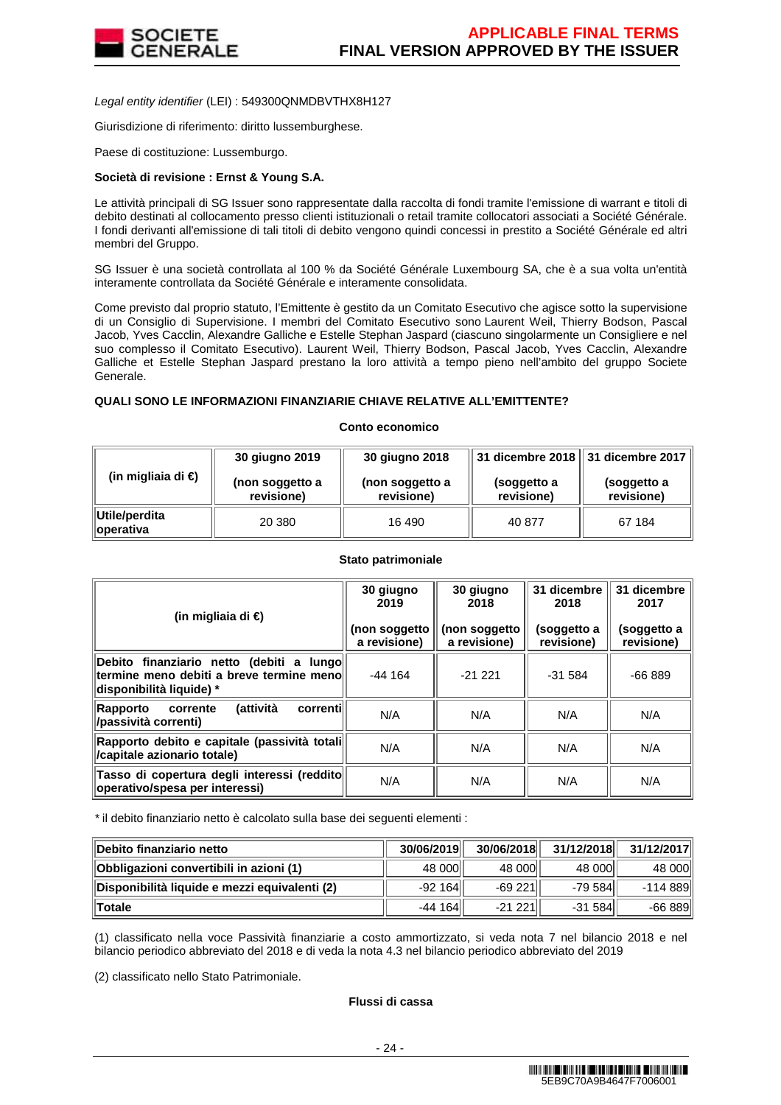

Legal entity identifier (LEI) : 549300QNMDBVTHX8H127

Giurisdizione di riferimento: diritto lussemburghese.

Paese di costituzione: Lussemburgo.

### **Società di revisione : Ernst & Young S.A.**

Le attività principali di SG Issuer sono rappresentate dalla raccolta di fondi tramite l'emissione di warrant e titoli di debito destinati al collocamento presso clienti istituzionali o retail tramite collocatori associati a Société Générale. I fondi derivanti all'emissione di tali titoli di debito vengono quindi concessi in prestito a Société Générale ed altri membri del Gruppo.

SG Issuer è una società controllata al 100 % da Société Générale Luxembourg SA, che è a sua volta un'entità interamente controllata da Société Générale e interamente consolidata.

Come previsto dal proprio statuto, l'Emittente è gestito da un Comitato Esecutivo che agisce sotto la supervisione di un Consiglio di Supervisione. I membri del Comitato Esecutivo sono Laurent Weil, Thierry Bodson, Pascal Jacob, Yves Cacclin, Alexandre Galliche e Estelle Stephan Jaspard (ciascuno singolarmente un Consigliere e nel suo complesso il Comitato Esecutivo). Laurent Weil, Thierry Bodson, Pascal Jacob, Yves Cacclin, Alexandre Galliche et Estelle Stephan Jaspard prestano la loro attività a tempo pieno nell'ambito del gruppo Societe Generale.

### **QUALI SONO LE INFORMAZIONI FINANZIARIE CHIAVE RELATIVE ALL'EMITTENTE?**

#### **Conto economico**

|                                    | 30 giugno 2019                | 30 giugno 2018                |                           | 31 dicembre 2018   31 dicembre 2017 |  |
|------------------------------------|-------------------------------|-------------------------------|---------------------------|-------------------------------------|--|
| (in migliaia di €)                 | (non soggetto a<br>revisione) | (non soggetto a<br>revisione) | (soggetto a<br>revisione) | (soggetto a<br>revisione)           |  |
| Utile/perdita<br><b>∥operativa</b> | 20 380                        | 16 490                        | 40 877                    | 67 184                              |  |

### **Stato patrimoniale**

| (in migliaia di €)                                                                                                                  | 30 giugno<br>2019<br>(non soggetto<br>a revisione) | 30 giugno<br>2018<br>(non soggetto<br>a revisione) | 31 dicembre<br>2018<br>(soggetto a<br>revisione) | 31 dicembre<br>2017<br>(soggetto a<br>revisione) |
|-------------------------------------------------------------------------------------------------------------------------------------|----------------------------------------------------|----------------------------------------------------|--------------------------------------------------|--------------------------------------------------|
| Debito finanziario netto (debiti<br>lungo∥<br>$\mathbf{a}$<br>termine meno debiti a breve termine meno<br> disponibilità liquide) * | $-44164$                                           | $-21221$                                           | $-31584$                                         | $-66889$                                         |
| (attività<br>correntil<br>Rapporto<br>corrente<br>/passività correnti)                                                              | N/A                                                | N/A                                                | N/A                                              | N/A                                              |
| Rapporto debito e capitale (passività totali<br>/capitale azionario totale)                                                         | N/A                                                | N/A                                                | N/A                                              | N/A                                              |
| Tasso di copertura degli interessi (reddito<br>operativo/spesa per interessi)                                                       | N/A                                                | N/A                                                | N/A                                              | N/A                                              |

\* il debito finanziario netto è calcolato sulla base dei seguenti elementi :

| ∥Debito finanziario netto                     | 30/06/2019 | 30/06/2018 | 31/12/2018 | 31/12/2017 |
|-----------------------------------------------|------------|------------|------------|------------|
| Obbligazioni convertibili in azioni (1)       | 48 000     | 48 000     | 48 000     | 48 000     |
| Disponibilità liquide e mezzi equivalenti (2) | $-92164$   | -69 221    | $-79584$   | -114 889   |
| ∥Totale                                       | $-44164$   | $-21221$   | $-31584$   | $-66889$   |

(1) classificato nella voce Passività finanziarie a costo ammortizzato, si veda nota 7 nel bilancio 2018 e nel bilancio periodico abbreviato del 2018 e di veda la nota 4.3 nel bilancio periodico abbreviato del 2019

(2) classificato nello Stato Patrimoniale.

# **Flussi di cassa**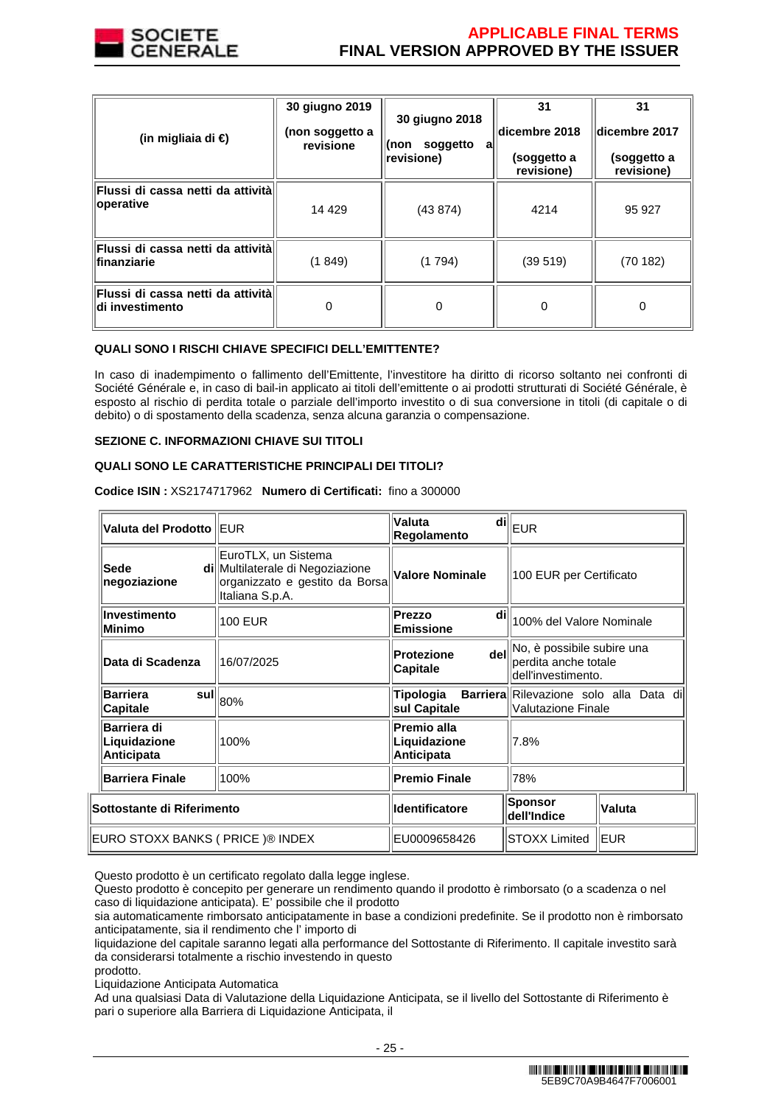

# **APPLICABLE FINAL TERMS FINAL VERSION APPROVED BY THE ISSUER**

| (in migliaia di €)                                   | 30 giugno 2019<br>(non soggetto a<br>revisione | 30 giugno 2018<br>soggetto<br>(non<br>a<br>revisione) | 31<br>dicembre 2018<br>(soggetto a<br>revisione) | 31<br>dicembre 2017<br>(soggetto a<br>revisione) |
|------------------------------------------------------|------------------------------------------------|-------------------------------------------------------|--------------------------------------------------|--------------------------------------------------|
| Flussi di cassa netti da attività<br>operative       | 14 4 29                                        | (43 874)                                              | 4214                                             | 95 927                                           |
| Flussi di cassa netti da attività<br>finanziarie     | (1849)                                         | (1794)                                                | (39519)                                          | (70182)                                          |
| Flussi di cassa netti da attività<br>di investimento | 0                                              | 0                                                     | 0                                                | 0                                                |

# **QUALI SONO I RISCHI CHIAVE SPECIFICI DELL'EMITTENTE?**

In caso di inadempimento o fallimento dell'Emittente, l'investitore ha diritto di ricorso soltanto nei confronti di Société Générale e, in caso di bail-in applicato ai titoli dell'emittente o ai prodotti strutturati di Société Générale, è esposto al rischio di perdita totale o parziale dell'importo investito o di sua conversione in titoli (di capitale o di debito) o di spostamento della scadenza, senza alcuna garanzia o compensazione.

### **SEZIONE C. INFORMAZIONI CHIAVE SUI TITOLI**

### **QUALI SONO LE CARATTERISTICHE PRINCIPALI DEI TITOLI?**

| Valuta del Prodotto IEUR                         |                                                                                                              | Valuta<br>di<br>Regolamento                              | <b>EUR</b>                                                               |            |
|--------------------------------------------------|--------------------------------------------------------------------------------------------------------------|----------------------------------------------------------|--------------------------------------------------------------------------|------------|
| Sede<br>negoziazione                             | EuroTLX, un Sistema<br>di Multilaterale di Negoziazione<br>organizzato e gestito da Borsa<br>Italiana S.p.A. | <b>Valore Nominale</b>                                   | 100 EUR per Certificato                                                  |            |
| Investimento<br>Minimo                           | <b>100 EUR</b>                                                                                               | Prezzo<br>di<br><b>Emissione</b>                         | 100% del Valore Nominale                                                 |            |
| <b>Data di Scadenza</b>                          | 16/07/2025                                                                                                   | dell<br><b>Protezione</b><br><b>Capitale</b>             | No, è possibile subire una<br>perdita anche totale<br>dell'investimento. |            |
| <b>Barriera</b><br>sull<br>Capitale              | 80%                                                                                                          | Tipologia<br>sul Capitale                                | Barriera Rilevazione solo alla Data di<br><b>Valutazione Finale</b>      |            |
| Barriera di<br>Liquidazione<br><b>Anticipata</b> | 100%                                                                                                         | Premio alla<br>Liquidazione<br>7.8%<br><b>Anticipata</b> |                                                                          |            |
| <b>Barriera Finale</b>                           | 100%                                                                                                         | <b>Premio Finale</b>                                     | 78%                                                                      |            |
| Sottostante di Riferimento                       |                                                                                                              | <b>Identificatore</b>                                    | Sponsor<br>dell'Indice                                                   | Valuta     |
| EURO STOXX BANKS ( PRICE )® INDEX                |                                                                                                              | EU0009658426                                             | STOXX Limited                                                            | <b>EUR</b> |

**Codice ISIN :** XS2174717962 **Numero di Certificati:** fino a 300000

Questo prodotto è un certificato regolato dalla legge inglese.

Questo prodotto è concepito per generare un rendimento quando il prodotto è rimborsato (o a scadenza o nel caso di liquidazione anticipata). E' possibile che il prodotto

sia automaticamente rimborsato anticipatamente in base a condizioni predefinite. Se il prodotto non è rimborsato anticipatamente, sia il rendimento che l' importo di

liquidazione del capitale saranno legati alla performance del Sottostante di Riferimento. Il capitale investito sarà da considerarsi totalmente a rischio investendo in questo prodotto.

Liquidazione Anticipata Automatica

Ad una qualsiasi Data di Valutazione della Liquidazione Anticipata, se il livello del Sottostante di Riferimento è pari o superiore alla Barriera di Liquidazione Anticipata, il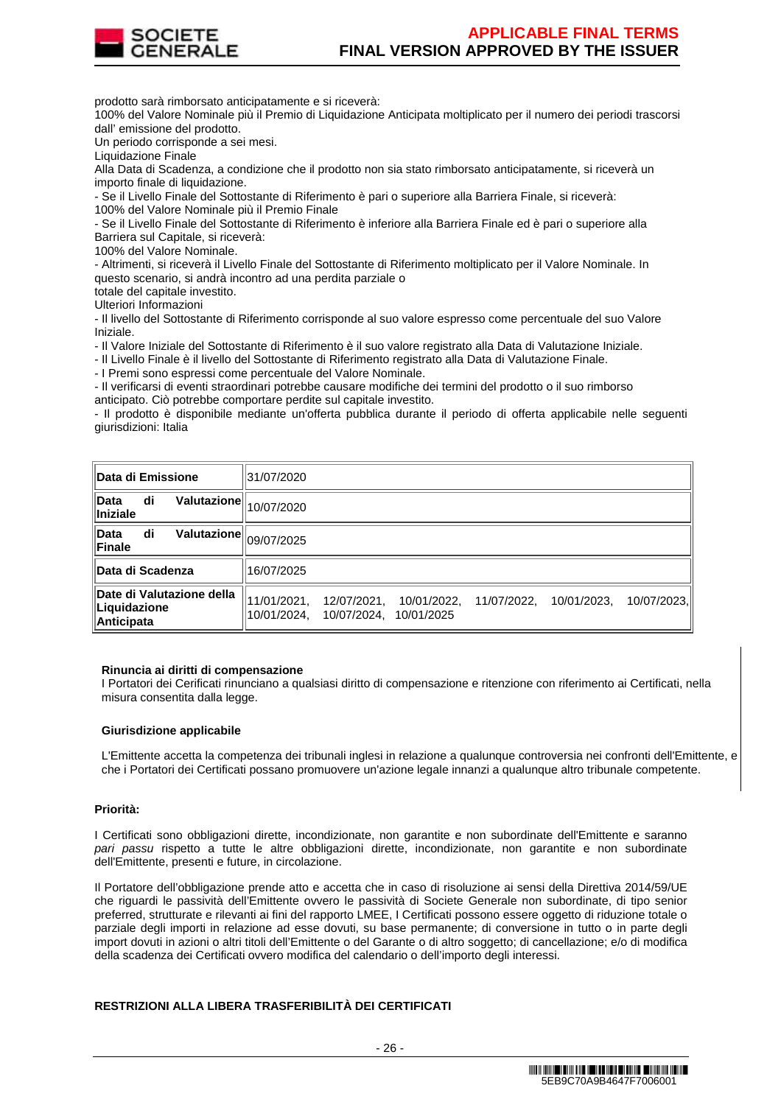

prodotto sarà rimborsato anticipatamente e si riceverà:

100% del Valore Nominale più il Premio di Liquidazione Anticipata moltiplicato per il numero dei periodi trascorsi dall' emissione del prodotto.

Un periodo corrisponde a sei mesi.

Liquidazione Finale

Alla Data di Scadenza, a condizione che il prodotto non sia stato rimborsato anticipatamente, si riceverà un importo finale di liquidazione.

- Se il Livello Finale del Sottostante di Riferimento è pari o superiore alla Barriera Finale, si riceverà:

100% del Valore Nominale più il Premio Finale

- Se il Livello Finale del Sottostante di Riferimento è inferiore alla Barriera Finale ed è pari o superiore alla Barriera sul Capitale, si riceverà:

100% del Valore Nominale.

- Altrimenti, si riceverà il Livello Finale del Sottostante di Riferimento moltiplicato per il Valore Nominale. In questo scenario, si andrà incontro ad una perdita parziale o

totale del capitale investito. Ulteriori Informazioni

- Il livello del Sottostante di Riferimento corrisponde al suo valore espresso come percentuale del suo Valore Iniziale.

- Il Valore Iniziale del Sottostante di Riferimento è il suo valore registrato alla Data di Valutazione Iniziale.

- Il Livello Finale è il livello del Sottostante di Riferimento registrato alla Data di Valutazione Finale.

- I Premi sono espressi come percentuale del Valore Nominale.

- Il verificarsi di eventi straordinari potrebbe causare modifiche dei termini del prodotto o il suo rimborso anticipato. Ciò potrebbe comportare perdite sul capitale investito.

- Il prodotto è disponibile mediante un'offerta pubblica durante il periodo di offerta applicabile nelle seguenti giurisdizioni: Italia

| <b>Data di Emissione</b>                                                        | 31/07/2020                 |                            |                           |             |             |             |
|---------------------------------------------------------------------------------|----------------------------|----------------------------|---------------------------|-------------|-------------|-------------|
| $\widetilde{\mathsf{Valutazione}}\rVert_{10/07/2020}$<br>di<br>Data<br>Iniziale |                            |                            |                           |             |             |             |
| <b>Valutazione</b><br>di<br>Data<br>Finale                                      | 09/07/2025                 |                            |                           |             |             |             |
| <b>Data di Scadenza</b>                                                         | 16/07/2025                 |                            |                           |             |             |             |
| Date di Valutazione della<br>Liquidazione<br>Anticipata                         | 11/01/2021,<br>10/01/2024. | 12/07/2021.<br>10/07/2024, | 10/01/2022,<br>10/01/2025 | 11/07/2022, | 10/01/2023, | 10/07/2023. |

### **Rinuncia ai diritti di compensazione**

I Portatori dei Cerificati rinunciano a qualsiasi diritto di compensazione e ritenzione con riferimento ai Certificati, nella misura consentita dalla legge.

### **Giurisdizione applicabile**

L'Emittente accetta la competenza dei tribunali inglesi in relazione a qualunque controversia nei confronti dell'Emittente, e che i Portatori dei Certificati possano promuovere un'azione legale innanzi a qualunque altro tribunale competente.

### **Priorità:**

I Certificati sono obbligazioni dirette, incondizionate, non garantite e non subordinate dell'Emittente e saranno pari passu rispetto a tutte le altre obbligazioni dirette, incondizionate, non garantite e non subordinate dell'Emittente, presenti e future, in circolazione.

Il Portatore dell'obbligazione prende atto e accetta che in caso di risoluzione ai sensi della Direttiva 2014/59/UE che riguardi le passività dell'Emittente ovvero le passività di Societe Generale non subordinate, di tipo senior preferred, strutturate e rilevanti ai fini del rapporto LMEE, I Certificati possono essere oggetto di riduzione totale o parziale degli importi in relazione ad esse dovuti, su base permanente; di conversione in tutto o in parte degli import dovuti in azioni o altri titoli dell'Emittente o del Garante o di altro soggetto; di cancellazione; e/o di modifica della scadenza dei Certificati ovvero modifica del calendario o dell'importo degli interessi.

# **RESTRIZIONI ALLA LIBERA TRASFERIBILITÀ DEI CERTIFICATI**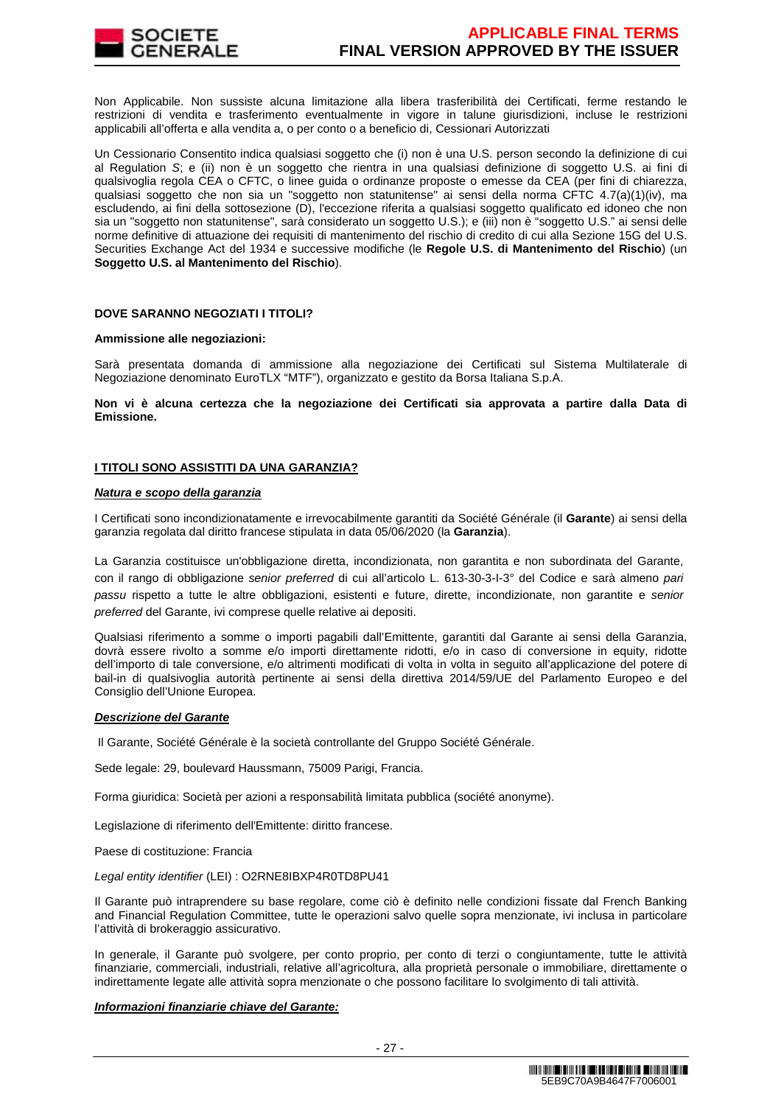

Non Applicabile. Non sussiste alcuna limitazione alla libera trasferibilità dei Certificati, ferme restando le restrizioni di vendita e trasferimento eventualmente in vigore in talune giurisdizioni, incluse le restrizioni applicabili all'offerta e alla vendita a, o per conto o a beneficio di, Cessionari Autorizzati

Un Cessionario Consentito indica qualsiasi soggetto che (i) non è una U.S. person secondo la definizione di cui al Regulation S; e (ii) non è un soggetto che rientra in una qualsiasi definizione di soggetto U.S. ai fini di qualsivoglia regola CEA o CFTC, o linee guida o ordinanze proposte o emesse da CEA (per fini di chiarezza, qualsiasi soggetto che non sia un "soggetto non statunitense" ai sensi della norma CFTC 4.7(a)(1)(iv), ma escludendo, ai fini della sottosezione (D), l'eccezione riferita a qualsiasi soggetto qualificato ed idoneo che non sia un "soggetto non statunitense", sarà considerato un soggetto U.S.); e (iii) non è "soggetto U.S." ai sensi delle norme definitive di attuazione dei requisiti di mantenimento del rischio di credito di cui alla Sezione 15G del U.S. Securities Exchange Act del 1934 e successive modifiche (le **Regole U.S. di Mantenimento del Rischio**) (un **Soggetto U.S. al Mantenimento del Rischio**).

### **DOVE SARANNO NEGOZIATI I TITOLI?**

### **Ammissione alle negoziazioni:**

Sarà presentata domanda di ammissione alla negoziazione dei Certificati sul Sistema Multilaterale di Negoziazione denominato EuroTLX "MTF"), organizzato e gestito da Borsa Italiana S.p.A.

**Non vi è alcuna certezza che la negoziazione dei Certificati sia approvata a partire dalla Data di Emissione.**

### **I TITOLI SONO ASSISTITI DA UNA GARANZIA?**

### **Natura e scopo della garanzia**

I Certificati sono incondizionatamente e irrevocabilmente garantiti da Société Générale (il **Garante**) ai sensi della garanzia regolata dal diritto francese stipulata in data 05/06/2020 (la **Garanzia**).

La Garanzia costituisce un'obbligazione diretta, incondizionata, non garantita e non subordinata del Garante, con il rango di obbligazione senior preferred di cui all'articolo L. 613-30-3-I-3° del Codice e sarà almeno pari passu rispetto a tutte le altre obbligazioni, esistenti e future, dirette, incondizionate, non garantite e senior preferred del Garante, ivi comprese quelle relative ai depositi.

Qualsiasi riferimento a somme o importi pagabili dall'Emittente, garantiti dal Garante ai sensi della Garanzia, dovrà essere rivolto a somme e/o importi direttamente ridotti, e/o in caso di conversione in equity, ridotte dell'importo di tale conversione, e/o altrimenti modificati di volta in volta in seguito all'applicazione del potere di bail-in di qualsivoglia autorità pertinente ai sensi della direttiva 2014/59/UE del Parlamento Europeo e del Consiglio dell'Unione Europea.

### **Descrizione del Garante**

Il Garante, Société Générale è la società controllante del Gruppo Société Générale.

Sede legale: 29, boulevard Haussmann, 75009 Parigi, Francia.

Forma giuridica: Società per azioni a responsabilità limitata pubblica (société anonyme).

Legislazione di riferimento dell'Emittente: diritto francese.

Paese di costituzione: Francia

Legal entity identifier (LEI) : O2RNE8IBXP4R0TD8PU41

Il Garante può intraprendere su base regolare, come ciò è definito nelle condizioni fissate dal French Banking and Financial Regulation Committee, tutte le operazioni salvo quelle sopra menzionate, ivi inclusa in particolare l'attività di brokeraggio assicurativo.

In generale, il Garante può svolgere, per conto proprio, per conto di terzi o congiuntamente, tutte le attività finanziarie, commerciali, industriali, relative all'agricoltura, alla proprietà personale o immobiliare, direttamente o indirettamente legate alle attività sopra menzionate o che possono facilitare lo svolgimento di tali attività.

### **Informazioni finanziarie chiave del Garante:**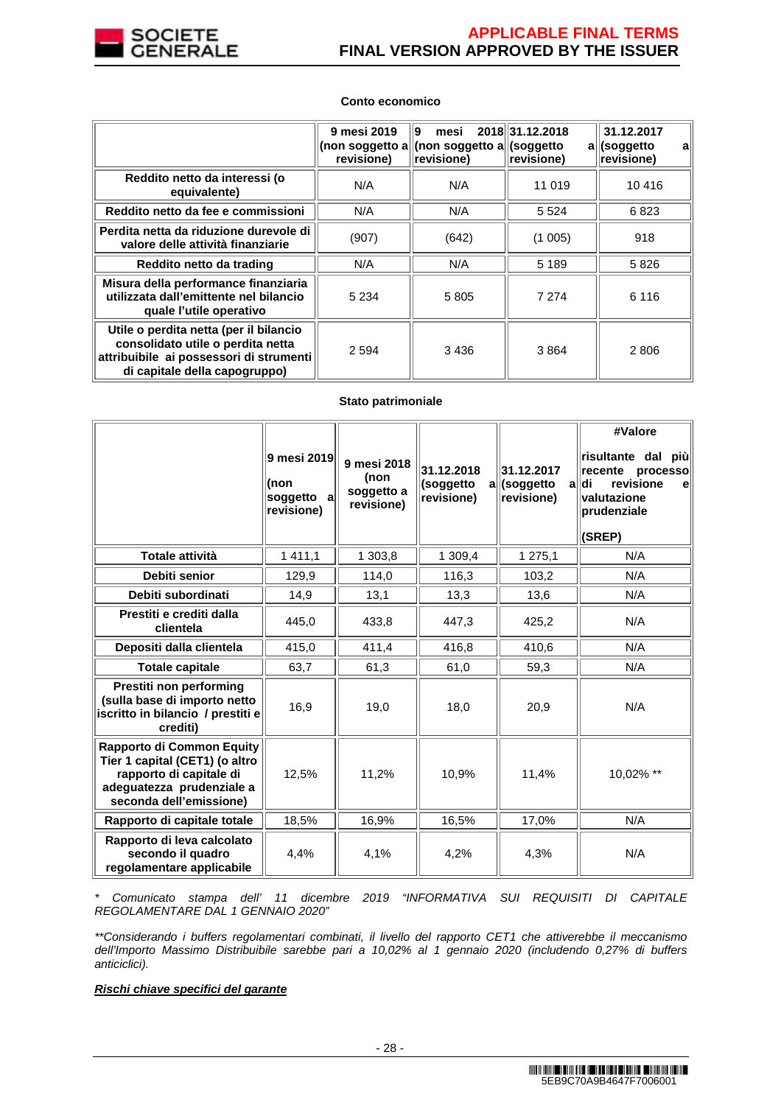

### **Conto economico**

|                                                                                                                                                         | 9 mesi 2019<br>revisione) | 19<br>mesi<br>(non soggetto a  (non soggetto a  (soggetto<br>revisione) | 2018 31.12.2018<br>revisione) | 31.12.2017<br>all(soggetto<br>a<br>revisione) |
|---------------------------------------------------------------------------------------------------------------------------------------------------------|---------------------------|-------------------------------------------------------------------------|-------------------------------|-----------------------------------------------|
| Reddito netto da interessi (o<br>equivalente)                                                                                                           | N/A                       | N/A                                                                     | 11 019                        | 10 416                                        |
| Reddito netto da fee e commissioni                                                                                                                      | N/A                       | N/A                                                                     | 5 5 2 4                       | 6823                                          |
| Perdita netta da riduzione durevole di<br>valore delle attività finanziarie                                                                             | (907)                     | (642)                                                                   | (1005)                        | 918                                           |
| Reddito netto da trading                                                                                                                                | N/A                       | N/A                                                                     | 5 1 8 9                       | 5826                                          |
| Misura della performance finanziaria<br>utilizzata dall'emittente nel bilancio<br>quale l'utile operativo                                               | 5 2 3 4                   | 5805                                                                    | 7 2 7 4                       | 6 1 1 6                                       |
| Utile o perdita netta (per il bilancio<br>consolidato utile o perdita netta<br>attribuibile ai possessori di strumenti<br>di capitale della capogruppo) | 2 5 9 4                   | 3 4 3 6                                                                 | 3864                          | 2806                                          |

### **Stato patrimoniale**

|                                                                                                                                                       | 9 mesi 2019<br>(non<br>soggetto<br>al<br>revisione) | 9 mesi 2018<br>(non<br>soggetto a<br>revisione) | 31.12.2018<br>(soggetto<br>a<br>revisione) | 31.12.2017<br>(soggetto<br>a<br>revisione) | #Valore<br>∣risultante dal più∣<br>recente<br>processo<br>revisione<br>∣di<br>el<br>valutazione<br>prudenziale<br>(SREP) |
|-------------------------------------------------------------------------------------------------------------------------------------------------------|-----------------------------------------------------|-------------------------------------------------|--------------------------------------------|--------------------------------------------|--------------------------------------------------------------------------------------------------------------------------|
| Totale attività                                                                                                                                       | 1 4 1 1 , 1                                         | 1 303,8                                         | 1 309,4                                    | 1 275,1                                    | N/A                                                                                                                      |
| Debiti senior                                                                                                                                         | 129,9                                               | 114,0                                           | 116,3                                      | 103,2                                      | N/A                                                                                                                      |
| Debiti subordinati                                                                                                                                    | 14,9                                                | 13,1                                            | 13,3                                       | 13,6                                       | N/A                                                                                                                      |
| Prestiti e crediti dalla<br>clientela                                                                                                                 | 445,0                                               | 433,8                                           | 447,3                                      | 425,2                                      | N/A                                                                                                                      |
| Depositi dalla clientela                                                                                                                              | 415,0                                               | 411,4                                           | 416,8                                      | 410,6                                      | N/A                                                                                                                      |
| <b>Totale capitale</b>                                                                                                                                | 63,7                                                | 61,3                                            | 61,0                                       | 59,3                                       | N/A                                                                                                                      |
| Prestiti non performing<br>(sulla base di importo netto<br>iscritto in bilancio / prestiti e<br>crediti)                                              | 16,9                                                | 19,0                                            | 18,0                                       | 20,9                                       | N/A                                                                                                                      |
| <b>Rapporto di Common Equity</b><br>Tier 1 capital (CET1) (o altro<br>rapporto di capitale di<br>adeguatezza prudenziale a<br>seconda dell'emissione) | 12.5%                                               | 11,2%                                           | 10.9%                                      | 11,4%                                      | 10,02% **                                                                                                                |
| Rapporto di capitale totale                                                                                                                           | 18,5%                                               | 16,9%                                           | 16,5%                                      | 17,0%                                      | N/A                                                                                                                      |
| Rapporto di leva calcolato<br>secondo il quadro<br>regolamentare applicabile                                                                          | 4,4%                                                | 4,1%                                            | 4,2%                                       | 4,3%                                       | N/A                                                                                                                      |

\* Comunicato stampa dell' 11 dicembre 2019 "INFORMATIVA SUI REQUISITI DI CAPITALE REGOLAMENTARE DAL 1 GENNAIO 2020"

\*\*Considerando i buffers regolamentari combinati, il livello del rapporto CET1 che attiverebbe il meccanismo dell'Importo Massimo Distribuibile sarebbe pari a 10,02% al 1 gennaio 2020 (includendo 0,27% di buffers anticiclici).

# **Rischi chiave specifici del garante**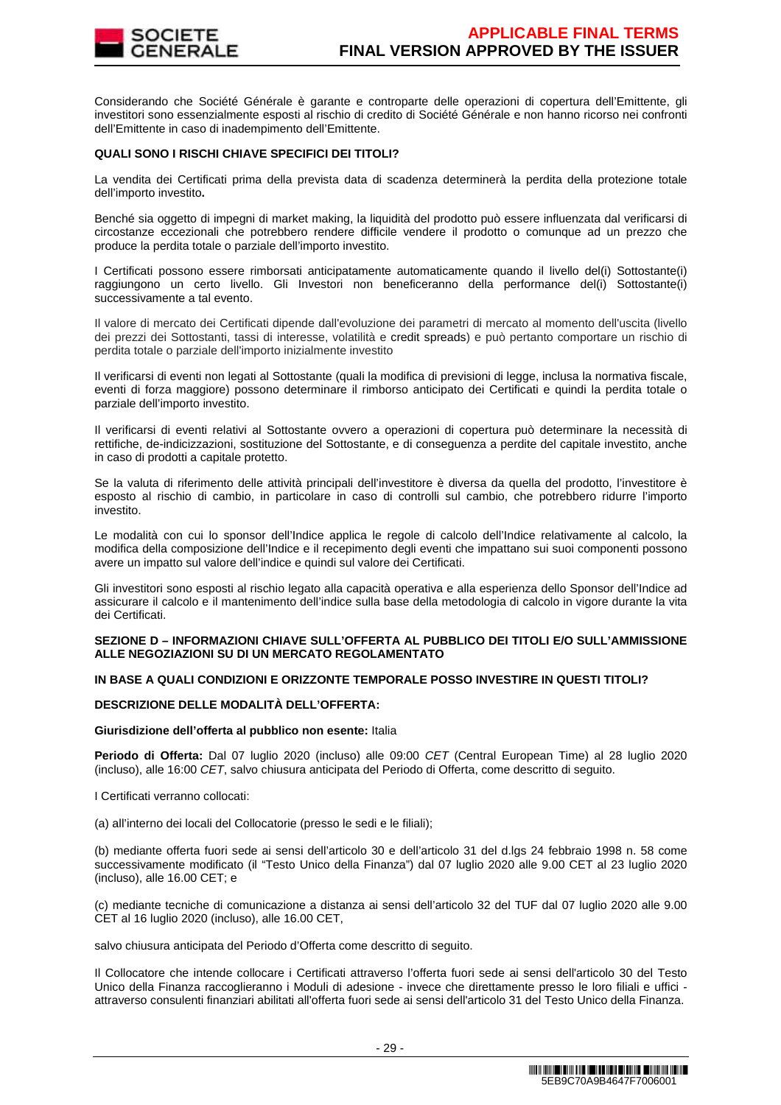

Considerando che Société Générale è garante e controparte delle operazioni di copertura dell'Emittente, gli investitori sono essenzialmente esposti al rischio di credito di Société Générale e non hanno ricorso nei confronti dell'Emittente in caso di inadempimento dell'Emittente.

### **QUALI SONO I RISCHI CHIAVE SPECIFICI DEI TITOLI?**

La vendita dei Certificati prima della prevista data di scadenza determinerà la perdita della protezione totale dell'importo investito**.**

Benché sia oggetto di impegni di market making, la liquidità del prodotto può essere influenzata dal verificarsi di circostanze eccezionali che potrebbero rendere difficile vendere il prodotto o comunque ad un prezzo che produce la perdita totale o parziale dell'importo investito.

I Certificati possono essere rimborsati anticipatamente automaticamente quando il livello del(i) Sottostante(i) raggiungono un certo livello. Gli Investori non beneficeranno della performance del(i) Sottostante(i) successivamente a tal evento.

Il valore di mercato dei Certificati dipende dall'evoluzione dei parametri di mercato al momento dell'uscita (livello dei prezzi dei Sottostanti, tassi di interesse, volatilità e credit spreads) e può pertanto comportare un rischio di perdita totale o parziale dell'importo inizialmente investito

Il verificarsi di eventi non legati al Sottostante (quali la modifica di previsioni di legge, inclusa la normativa fiscale, eventi di forza maggiore) possono determinare il rimborso anticipato dei Certificati e quindi la perdita totale o parziale dell'importo investito.

Il verificarsi di eventi relativi al Sottostante ovvero a operazioni di copertura può determinare la necessità di rettifiche, de-indicizzazioni, sostituzione del Sottostante, e di conseguenza a perdite del capitale investito, anche in caso di prodotti a capitale protetto.

Se la valuta di riferimento delle attività principali dell'investitore è diversa da quella del prodotto, l'investitore è esposto al rischio di cambio, in particolare in caso di controlli sul cambio, che potrebbero ridurre l'importo investito.

Le modalità con cui lo sponsor dell'Indice applica le regole di calcolo dell'Indice relativamente al calcolo, la modifica della composizione dell'Indice e il recepimento degli eventi che impattano sui suoi componenti possono avere un impatto sul valore dell'indice e quindi sul valore dei Certificati.

Gli investitori sono esposti al rischio legato alla capacità operativa e alla esperienza dello Sponsor dell'Indice ad assicurare il calcolo e il mantenimento dell'indice sulla base della metodologia di calcolo in vigore durante la vita dei Certificati.

### **SEZIONE D – INFORMAZIONI CHIAVE SULL'OFFERTA AL PUBBLICO DEI TITOLI E/O SULL'AMMISSIONE ALLE NEGOZIAZIONI SU DI UN MERCATO REGOLAMENTATO**

# **IN BASE A QUALI CONDIZIONI E ORIZZONTE TEMPORALE POSSO INVESTIRE IN QUESTI TITOLI?**

### **DESCRIZIONE DELLE MODALITÀ DELL'OFFERTA:**

### **Giurisdizione dell'offerta al pubblico non esente:** Italia

**Periodo di Offerta:** Dal 07 luglio 2020 (incluso) alle 09:00 CET (Central European Time) al 28 luglio 2020 (incluso), alle 16:00 CET, salvo chiusura anticipata del Periodo di Offerta, come descritto di seguito.

I Certificati verranno collocati:

(a) all'interno dei locali del Collocatorie (presso le sedi e le filiali);

(b) mediante offerta fuori sede ai sensi dell'articolo 30 e dell'articolo 31 del d.lgs 24 febbraio 1998 n. 58 come successivamente modificato (il "Testo Unico della Finanza") dal 07 luglio 2020 alle 9.00 CET al 23 luglio 2020 (incluso), alle 16.00 CET; e

(c) mediante tecniche di comunicazione a distanza ai sensi dell'articolo 32 del TUF dal 07 luglio 2020 alle 9.00 CET al 16 luglio 2020 (incluso), alle 16.00 CET,

salvo chiusura anticipata del Periodo d'Offerta come descritto di seguito.

Il Collocatore che intende collocare i Certificati attraverso l'offerta fuori sede ai sensi dell'articolo 30 del Testo Unico della Finanza raccoglieranno i Moduli di adesione - invece che direttamente presso le loro filiali e uffici attraverso consulenti finanziari abilitati all'offerta fuori sede ai sensi dell'articolo 31 del Testo Unico della Finanza.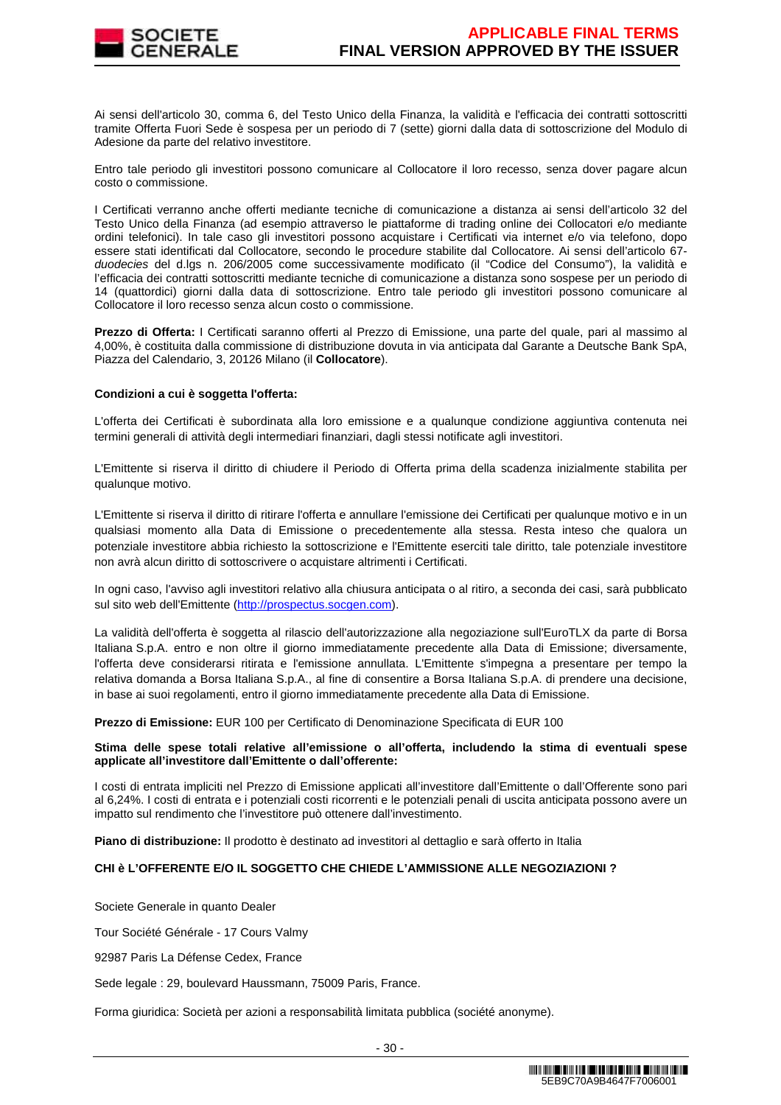

Ai sensi dell'articolo 30, comma 6, del Testo Unico della Finanza, la validità e l'efficacia dei contratti sottoscritti tramite Offerta Fuori Sede è sospesa per un periodo di 7 (sette) giorni dalla data di sottoscrizione del Modulo di Adesione da parte del relativo investitore.

Entro tale periodo gli investitori possono comunicare al Collocatore il loro recesso, senza dover pagare alcun costo o commissione.

I Certificati verranno anche offerti mediante tecniche di comunicazione a distanza ai sensi dell'articolo 32 del Testo Unico della Finanza (ad esempio attraverso le piattaforme di trading online dei Collocatori e/o mediante ordini telefonici). In tale caso gli investitori possono acquistare i Certificati via internet e/o via telefono, dopo essere stati identificati dal Collocatore, secondo le procedure stabilite dal Collocatore. Ai sensi dell'articolo 67 duodecies del d.lgs n. 206/2005 come successivamente modificato (il "Codice del Consumo"), la validità e l'efficacia dei contratti sottoscritti mediante tecniche di comunicazione a distanza sono sospese per un periodo di 14 (quattordici) giorni dalla data di sottoscrizione. Entro tale periodo gli investitori possono comunicare al Collocatore il loro recesso senza alcun costo o commissione.

**Prezzo di Offerta:** I Certificati saranno offerti al Prezzo di Emissione, una parte del quale, pari al massimo al 4,00%, è costituita dalla commissione di distribuzione dovuta in via anticipata dal Garante a Deutsche Bank SpA, Piazza del Calendario, 3, 20126 Milano (il **Collocatore**).

### **Condizioni a cui è soggetta l'offerta:**

L'offerta dei Certificati è subordinata alla loro emissione e a qualunque condizione aggiuntiva contenuta nei termini generali di attività degli intermediari finanziari, dagli stessi notificate agli investitori.

L'Emittente si riserva il diritto di chiudere il Periodo di Offerta prima della scadenza inizialmente stabilita per qualunque motivo.

L'Emittente si riserva il diritto di ritirare l'offerta e annullare l'emissione dei Certificati per qualunque motivo e in un qualsiasi momento alla Data di Emissione o precedentemente alla stessa. Resta inteso che qualora un potenziale investitore abbia richiesto la sottoscrizione e l'Emittente eserciti tale diritto, tale potenziale investitore non avrà alcun diritto di sottoscrivere o acquistare altrimenti i Certificati.

In ogni caso, l'avviso agli investitori relativo alla chiusura anticipata o al ritiro, a seconda dei casi, sarà pubblicato sul sito web dell'Emittente (http://prospectus.socgen.com).

La validità dell'offerta è soggetta al rilascio dell'autorizzazione alla negoziazione sull'EuroTLX da parte di Borsa Italiana S.p.A. entro e non oltre il giorno immediatamente precedente alla Data di Emissione; diversamente, l'offerta deve considerarsi ritirata e l'emissione annullata. L'Emittente s'impegna a presentare per tempo la relativa domanda a Borsa Italiana S.p.A., al fine di consentire a Borsa Italiana S.p.A. di prendere una decisione, in base ai suoi regolamenti, entro il giorno immediatamente precedente alla Data di Emissione.

**Prezzo di Emissione:** EUR 100 per Certificato di Denominazione Specificata di EUR 100

### **Stima delle spese totali relative all'emissione o all'offerta, includendo la stima di eventuali spese applicate all'investitore dall'Emittente o dall'offerente:**

I costi di entrata impliciti nel Prezzo di Emissione applicati all'investitore dall'Emittente o dall'Offerente sono pari al 6,24%. I costi di entrata e i potenziali costi ricorrenti e le potenziali penali di uscita anticipata possono avere un impatto sul rendimento che l'investitore può ottenere dall'investimento.

**Piano di distribuzione:** Il prodotto è destinato ad investitori al dettaglio e sarà offerto in Italia

# **CHI è L'OFFERENTE E/O IL SOGGETTO CHE CHIEDE L'AMMISSIONE ALLE NEGOZIAZIONI ?**

Societe Generale in quanto Dealer

Tour Société Générale - 17 Cours Valmy

92987 Paris La Défense Cedex, France

Sede legale : 29, boulevard Haussmann, 75009 Paris, France.

Forma giuridica: Società per azioni a responsabilità limitata pubblica (société anonyme).